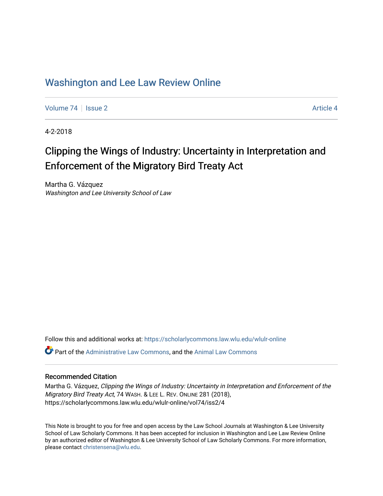# [Washington and Lee Law Review Online](https://scholarlycommons.law.wlu.edu/wlulr-online)

[Volume 74](https://scholarlycommons.law.wlu.edu/wlulr-online/vol74) | [Issue 2](https://scholarlycommons.law.wlu.edu/wlulr-online/vol74/iss2) Article 4

4-2-2018

# Clipping the Wings of Industry: Uncertainty in Interpretation and Enforcement of the Migratory Bird Treaty Act

Martha G. Vázquez Washington and Lee University School of Law

Follow this and additional works at: [https://scholarlycommons.law.wlu.edu/wlulr-online](https://scholarlycommons.law.wlu.edu/wlulr-online?utm_source=scholarlycommons.law.wlu.edu%2Fwlulr-online%2Fvol74%2Fiss2%2F4&utm_medium=PDF&utm_campaign=PDFCoverPages) 

Part of the [Administrative Law Commons,](http://network.bepress.com/hgg/discipline/579?utm_source=scholarlycommons.law.wlu.edu%2Fwlulr-online%2Fvol74%2Fiss2%2F4&utm_medium=PDF&utm_campaign=PDFCoverPages) and the [Animal Law Commons](http://network.bepress.com/hgg/discipline/831?utm_source=scholarlycommons.law.wlu.edu%2Fwlulr-online%2Fvol74%2Fiss2%2F4&utm_medium=PDF&utm_campaign=PDFCoverPages)

# Recommended Citation

Martha G. Vázquez, Clipping the Wings of Industry: Uncertainty in Interpretation and Enforcement of the Migratory Bird Treaty Act, 74 WASH. & LEE L. REV. ONLINE 281 (2018), https://scholarlycommons.law.wlu.edu/wlulr-online/vol74/iss2/4

This Note is brought to you for free and open access by the Law School Journals at Washington & Lee University School of Law Scholarly Commons. It has been accepted for inclusion in Washington and Lee Law Review Online by an authorized editor of Washington & Lee University School of Law Scholarly Commons. For more information, please contact [christensena@wlu.edu.](mailto:christensena@wlu.edu)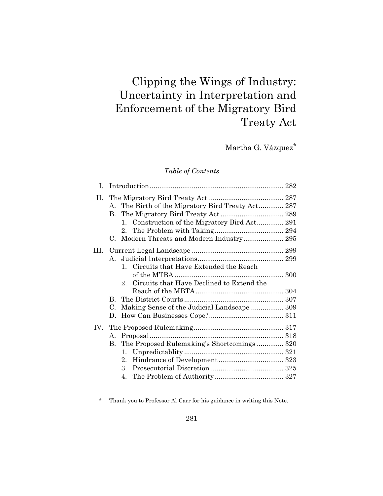# Clipping the Wings of Industry: Uncertainty in Interpretation and Enforcement of the Migratory Bird Treaty Act

Martha G. Vázquez\*

# *Table of Contents*

| L.  |                                                                                                                                                                   |  |
|-----|-------------------------------------------------------------------------------------------------------------------------------------------------------------------|--|
| П.  | A. The Birth of the Migratory Bird Treaty Act 287<br>1. Construction of the Migratory Bird Act 291<br>2.<br>Modern Threats and Modern Industry 295<br>$\mathbf C$ |  |
| HL. | 1. Circuits that Have Extended the Reach<br>Circuits that Have Declined to Extend the<br>$2_{-}$                                                                  |  |
|     | $\mathbf{B}$<br>Making Sense of the Judicial Landscape  309<br>C.<br>D.                                                                                           |  |
|     | B. The Proposed Rulemaking's Shortcomings 320<br>$2_{-}$<br>$3_{-}$<br>4.                                                                                         |  |

\* Thank you to Professor Al Carr for his guidance in writing this Note.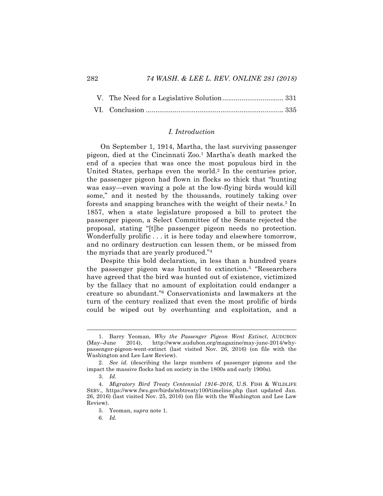#### *I. Introduction*

On September 1, 1914, Martha, the last surviving passenger pigeon, died at the Cincinnati Zoo.1 Martha's death marked the end of a species that was once the most populous bird in the United States, perhaps even the world.<sup>2</sup> In the centuries prior, the passenger pigeon had flown in flocks so thick that "hunting was easy—even waving a pole at the low-flying birds would kill some," and it nested by the thousands, routinely taking over forests and snapping branches with the weight of their nests.3 In 1857, when a state legislature proposed a bill to protect the passenger pigeon, a Select Committee of the Senate rejected the proposal, stating "[t]he passenger pigeon needs no protection. Wonderfully prolific . . . it is here today and elsewhere tomorrow, and no ordinary destruction can lessen them, or be missed from the myriads that are yearly produced."4

Despite this bold declaration, in less than a hundred years the passenger pigeon was hunted to extinction.5 "Researchers have agreed that the bird was hunted out of existence, victimized by the fallacy that no amount of exploitation could endanger a creature so abundant."6 Conservationists and lawmakers at the turn of the century realized that even the most prolific of birds could be wiped out by overhunting and exploitation, and a

 <sup>1.</sup> Barry Yeoman, *Why the Passenger Pigeon Went Extinct*, AUDUBON (May–June 2014), http://www.audubon.org/magazine/may-june-2014/whypassenger-pigeon-went-extinct (last visited Nov. 26, 2016) (on file with the Washington and Lee Law Review).

<sup>2.</sup> *See id.* (describing the large numbers of passenger pigeons and the impact the massive flocks had on society in the 1800s and early 1900s)*.*

<sup>3.</sup> *Id.*

<sup>4.</sup> *Migratory Bird Treaty Centennial 1916–2016*, U.S. FISH & WILDLIFE SERV., https://www.fws.gov/birds/mbtreaty100/timeline.php (last updated Jan. 26, 2016) (last visited Nov. 25, 2016) (on file with the Washington and Lee Law Review).

<sup>5.</sup> Yeoman, *supra* note 1.

<sup>6.</sup> *Id.*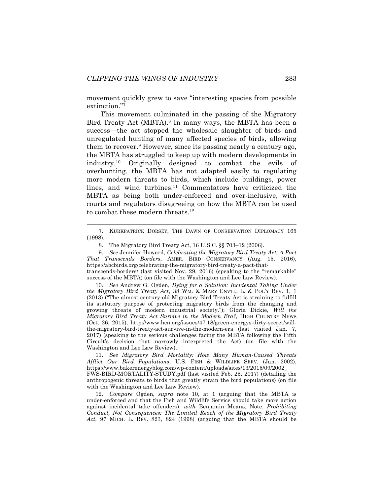movement quickly grew to save "interesting species from possible extinction."7

This movement culminated in the passing of the Migratory Bird Treaty Act (MBTA).<sup>8</sup> In many ways, the MBTA has been a success—the act stopped the wholesale slaughter of birds and unregulated hunting of many affected species of birds, allowing them to recover.9 However, since its passing nearly a century ago, the MBTA has struggled to keep up with modern developments in industry.10 Originally designed to combat the evils of overhunting, the MBTA has not adapted easily to regulating more modern threats to birds, which include buildings, power lines, and wind turbines.11 Commentators have criticized the MBTA as being both under-enforced and over-inclusive, with courts and regulators disagreeing on how the MBTA can be used to combat these modern threats.<sup>12</sup>

10. *See* Andrew G. Ogden, *Dying for a Solution: Incidental Taking Under the Migratory Bird Treaty Act*, 38 WM. & MARY ENVTL. L. & POL'Y REV. 1, 1 (2013) ("The almost century-old Migratory Bird Treaty Act is straining to fulfill its statutory purpose of protecting migratory birds from the changing and growing threats of modern industrial society."); Gloria Dickie, *Will the Migratory Bird Treaty Act Survive in the Modern Era?*, HIGH COUNTRY NEWS (Oct. 26, 2015), http://www.hcn.org/issues/47.18/green-energys-dirty-secret/willthe-migratory-bird-treaty-act-survive-in-the-modern-era (last visited Jan. 7, 2017) (speaking to the serious challenges facing the MBTA following the Fifth Circuit's decision that narrowly interpreted the Act) (on file with the Washington and Lee Law Review).

11. *See Migratory Bird Mortality: How Many Human-Caused Threats Afflict Our Bird Populations*, U.S. FISH & WILDLIFE SERV. (Jan. 2002), https://www.bakerenergyblog.com/wp-content/uploads/sites/13/2015/09/2002\_ FWS-BIRD-MORTALITY-STUDY.pdf (last visited Feb. 25, 2017) (detailing the anthropogenic threats to birds that greatly strain the bird populations) (on file with the Washington and Lee Law Review).

12. *Compare* Ogden, *supra* note 10, at 1 (arguing that the MBTA is under-enforced and that the Fish and Wildlife Service should take more action against incidental take offenders), *with* Benjamin Means, Note, *Prohibiting Conduct, Not Consequences: The Limited Reach of the Migratory Bird Treaty Act*, 97 MICH. L. REV. 823, 824 (1998) (arguing that the MBTA should be

 <sup>7.</sup> KURKPATRICK DORSEY, THE DAWN OF CONSERVATION DIPLOMACY <sup>165</sup> (1998).

<sup>8.</sup> The Migratory Bird Treaty Act, 16 U.S.C. §§ 703–12 (2006).

<sup>9.</sup> *See* Jennifer Howard, *Celebrating the Migratory Bird Treaty Act: A Pact That Transcends Borders*, AMER. BIRD CONSERVANCY (Aug. 15, 2016), https://abcbirds.org/celebrating-the-migratory-bird-treaty-a-pact-thattranscends-borders/ (last visited Nov. 29, 2016) (speaking to the "remarkable" success of the MBTA) (on file with the Washington and Lee Law Review).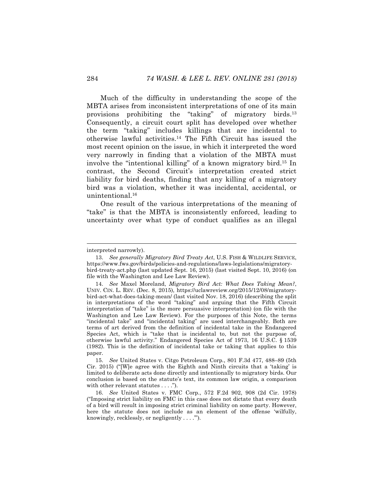Much of the difficulty in understanding the scope of the MBTA arises from inconsistent interpretations of one of its main provisions prohibiting the "taking" of migratory birds.<sup>13</sup> Consequently, a circuit court split has developed over whether the term "taking" includes killings that are incidental to otherwise lawful activities.14 The Fifth Circuit has issued the most recent opinion on the issue, in which it interpreted the word very narrowly in finding that a violation of the MBTA must involve the "intentional killing" of a known migratory bird.15 In contrast, the Second Circuit's interpretation created strict liability for bird deaths, finding that any killing of a migratory bird was a violation, whether it was incidental, accidental, or unintentional.16

One result of the various interpretations of the meaning of "take" is that the MBTA is inconsistently enforced, leading to uncertainty over what type of conduct qualifies as an illegal

interpreted narrowly).

<sup>13.</sup> *See generally Migratory Bird Treaty Act*, U.S. FISH & WILDLIFE SERVICE, https://www.fws.gov/birds/policies-and-regulations/laws-legislations/migratorybird-treaty-act.php (last updated Sept. 16, 2015) (last visited Sept. 10, 2016) (on file with the Washington and Lee Law Review).

<sup>14.</sup> *See* Maxel Moreland, *Migratory Bird Act: What Does Taking Mean?*, UNIV. CIN. L. REV. (Dec. 8, 2015), https://uclawreview.org/2015/12/08/migratorybird-act-what-does-taking-mean/ (last visited Nov. 18, 2016) (describing the split in interpretations of the word "taking" and arguing that the Fifth Circuit interpretation of "take" is the more persuasive interpretation) (on file with the Washington and Lee Law Review). For the purposes of this Note, the terms "incidental take" and "incidental taking" are used interchangeably. Both are terms of art derived from the definition of incidental take in the Endangered Species Act, which is "take that is incidental to, but not the purpose of, otherwise lawful activity." Endangered Species Act of 1973, 16 U.S.C. § 1539 (1982). This is the definition of incidental take or taking that applies to this paper.

<sup>15.</sup> *See* United States v. Citgo Petroleum Corp*.*, 801 F.3d 477, 488–89 (5th Cir. 2015) ("[W]e agree with the Eighth and Ninth circuits that a 'taking' is limited to deliberate acts done directly and intentionally to migratory birds. Our conclusion is based on the statute's text, its common law origin, a comparison with other relevant statutes  $\dots$ .").

<sup>16.</sup> *See* United States v. FMC Corp., 572 F.2d 902, 908 (2d Cir. 1978) ("Imposing strict liability on FMC in this case does not dictate that every death of a bird will result in imposing strict criminal liability on some party. However, here the statute does not include as an element of the offense 'wilfully, knowingly, recklessly, or negligently . . . .'").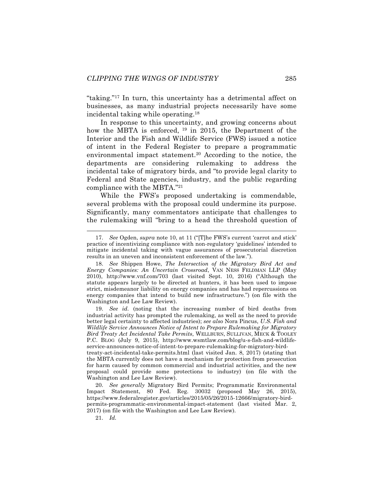"taking."17 In turn, this uncertainty has a detrimental affect on businesses, as many industrial projects necessarily have some incidental taking while operating.18

In response to this uncertainty, and growing concerns about how the MBTA is enforced, <sup>19</sup> in 2015, the Department of the Interior and the Fish and Wildlife Service (FWS) issued a notice of intent in the Federal Register to prepare a programmatic environmental impact statement.<sup>20</sup> According to the notice, the departments are considering rulemaking to address the incidental take of migratory birds, and "to provide legal clarity to Federal and State agencies, industry, and the public regarding compliance with the MBTA."21

While the FWS's proposed undertaking is commendable, several problems with the proposal could undermine its purpose. Significantly, many commentators anticipate that challenges to the rulemaking will "bring to a head the threshold question of

19. *See id.* (noting that the increasing number of bird deaths from industrial activity has prompted the rulemaking, as well as the need to provide better legal certainty to affected industries); *see also* Nora Pincus, *U.S. Fish and Wildlife Service Announces Notice of Intent to Prepare Rulemaking for Migratory Bird Treaty Act Incidental Take Permits*, WELLBURN, SULLIVAN, MECK & TOOLEY P.C. BLOG (July 9, 2015), http://www.wsmtlaw.com/blog/u-s-fish-and-wildlifeservice-announces-notice-of-intent-to-prepare-rulemaking-for-migratory-bird-

treaty-act-incidental-take-permits.html (last visited Jan. 8, 2017) (stating that the MBTA currently does not have a mechanism for protection from prosecution for harm caused by common commercial and industrial activities, and the new proposal could provide some protections to industry) (on file with the Washington and Lee Law Review).

20. *See generally* Migratory Bird Permits; Programmatic Environmental Impact Statement, 80 Fed. Reg. 30032 (proposed May 26, 2015), https://www.federalregister.gov/articles/2015/05/26/2015-12666/migratory-birdpermits-programmatic-environmental-impact-statement (last visited Mar. 2, 2017) (on file with the Washington and Lee Law Review).

21. *Id.*

 <sup>17.</sup> *See* Ogden, *supra* note 10, at 11 ("[T]he FWS's current 'carrot and stick' practice of incentivizing compliance with non-regulatory 'guidelines' intended to mitigate incidental taking with vague assurances of prosecutorial discretion results in an uneven and inconsistent enforcement of the law.").

<sup>18.</sup> *See* Shippen Howe, *The Intersection of the Migratory Bird Act and Energy Companies: An Uncertain Crossroad*, VAN NESS FELDMAN LLP (May 2010), http://www.vnf.com/703 (last visited Sept. 10, 2016) ("Although the statute appears largely to be directed at hunters, it has been used to impose strict, misdemeanor liability on energy companies and has had repercussions on energy companies that intend to build new infrastructure.") (on file with the Washington and Lee Law Review).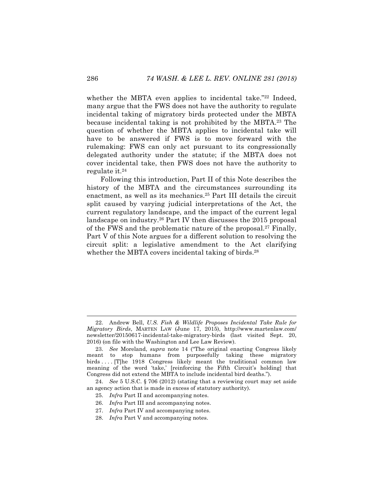whether the MBTA even applies to incidental take."<sup>22</sup> Indeed, many argue that the FWS does not have the authority to regulate incidental taking of migratory birds protected under the MBTA because incidental taking is not prohibited by the MBTA.23 The question of whether the MBTA applies to incidental take will have to be answered if FWS is to move forward with the rulemaking: FWS can only act pursuant to its congressionally delegated authority under the statute; if the MBTA does not cover incidental take, then FWS does not have the authority to regulate it.24

Following this introduction, Part II of this Note describes the history of the MBTA and the circumstances surrounding its enactment, as well as its mechanics.25 Part III details the circuit split caused by varying judicial interpretations of the Act, the current regulatory landscape, and the impact of the current legal landscape on industry.<sup>26</sup> Part IV then discusses the 2015 proposal of the FWS and the problematic nature of the proposal.27 Finally, Part V of this Note argues for a different solution to resolving the circuit split: a legislative amendment to the Act clarifying whether the MBTA covers incidental taking of birds.<sup>28</sup>

- 26. *Infra* Part III and accompanying notes.
- 27. *Infra* Part IV and accompanying notes.

 <sup>22.</sup> Andrew Bell, *U.S. Fish & Wildlife Proposes Incidental Take Rule for Migratory Birds*, MARTEN LAW (June 17, 2015), http://www.martenlaw.com/ newsletter/20150617-incidental-take-migratory-birds (last visited Sept. 20, 2016) (on file with the Washington and Lee Law Review).

<sup>23.</sup> *See* Moreland, *supra* note 14 ("The original enacting Congress likely meant to stop humans from purposefully taking these migratory birds . . . . [T]he 1918 Congress likely meant the traditional common law meaning of the word 'take,' [reinforcing the Fifth Circuit's holding] that Congress did not extend the MBTA to include incidental bird deaths.").

<sup>24.</sup> *See* 5 U.S.C. § 706 (2012) (stating that a reviewing court may set aside an agency action that is made in excess of statutory authority).

<sup>25.</sup> *Infra* Part II and accompanying notes.

<sup>28.</sup> *Infra* Part V and accompanying notes.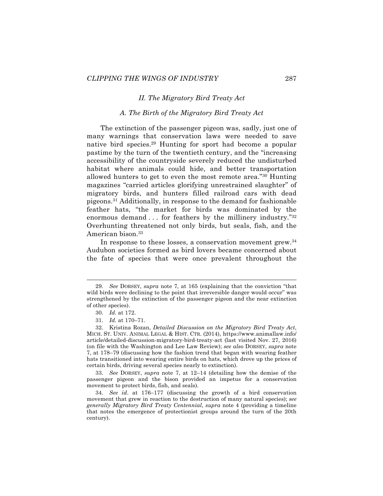#### *II. The Migratory Bird Treaty Act*

#### *A. The Birth of the Migratory Bird Treaty Act*

The extinction of the passenger pigeon was, sadly, just one of many warnings that conservation laws were needed to save native bird species.29 Hunting for sport had become a popular pastime by the turn of the twentieth century, and the "increasing accessibility of the countryside severely reduced the undisturbed habitat where animals could hide, and better transportation allowed hunters to get to even the most remote area."30 Hunting magazines "carried articles glorifying unrestrained slaughter" of migratory birds, and hunters filled railroad cars with dead pigeons.31 Additionally, in response to the demand for fashionable feather hats, "the market for birds was dominated by the enormous demand . . . for feathers by the millinery industry."<sup>32</sup> Overhunting threatened not only birds, but seals, fish, and the American bison.<sup>33</sup>

In response to these losses, a conservation movement grew.<sup>34</sup> Audubon societies formed as bird lovers became concerned about the fate of species that were once prevalent throughout the

33. *See* DORSEY, *supra* note 7, at 12–14 (detailing how the demise of the passenger pigeon and the bison provided an impetus for a conservation movement to protect birds, fish, and seals).

 <sup>29.</sup> *See* DORSEY, *supra* note 7, at 165 (explaining that the conviction "that wild birds were declining to the point that irreversible danger would occur" was strengthened by the extinction of the passenger pigeon and the near extinction of other species).

<sup>30.</sup> *Id.* at 172.

<sup>31.</sup> *Id.* at 170–71.

<sup>32.</sup> Kristina Rozan, *Detailed Discussion on the Migratory Bird Treaty Act*, MICH. ST. UNIV. ANIMAL LEGAL & HIST. CTR. (2014), https://www.animallaw.info/ article/detailed-discussion-migratory-bird-treaty-act (last visited Nov. 27, 2016) (on file with the Washington and Lee Law Review); *see also* DORSEY, *supra* note 7, at 178–79 (discussing how the fashion trend that began with wearing feather hats transitioned into wearing entire birds on hats, which drove up the prices of certain birds, driving several species nearly to extinction).

<sup>34.</sup> *See id*. at 176–177 (discussing the growth of a bird conservation movement that grew in reaction to the destruction of many natural species); *see generally Migratory Bird Treaty Centennial*, *supra* note 4 (providing a timeline that notes the emergence of protectionist groups around the turn of the 20th century).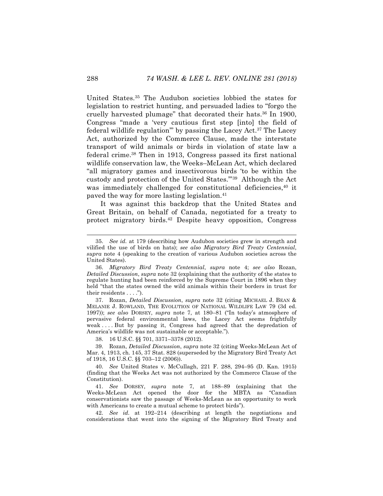United States.35 The Audubon societies lobbied the states for legislation to restrict hunting, and persuaded ladies to "forgo the cruelly harvested plumage" that decorated their hats.36 In 1900, Congress "made a 'very cautious first step [into] the field of federal wildlife regulation" by passing the Lacey Act.<sup>37</sup> The Lacey Act, authorized by the Commerce Clause, made the interstate transport of wild animals or birds in violation of state law a federal crime.38 Then in 1913, Congress passed its first national wildlife conservation law, the Weeks–McLean Act, which declared "all migratory games and insectivorous birds 'to be within the custody and protection of the United States.'"39 Although the Act was immediately challenged for constitutional deficiencies,<sup>40</sup> it paved the way for more lasting legislation.41

It was against this backdrop that the United States and Great Britain, on behalf of Canada, negotiated for a treaty to protect migratory birds.42 Despite heavy opposition, Congress

38. 16 U.S.C. §§ 701, 3371–3378 (2012).

39. Rozan, *Detailed Discussion*, *supra* note 32 (citing Weeks-McLean Act of Mar. 4, 1913, ch. 145, 37 Stat. 828 (superseded by the Migratory Bird Treaty Act of 1918, 16 U.S.C. §§ 703–12 (2006)).

40. *See* United States v. McCullagh, 221 F. 288, 294–95 (D. Kan. 1915) (finding that the Weeks Act was not authorized by the Commerce Clause of the Constitution).

41. *See* DORSEY, *supra* note 7, at 188–89 (explaining that the Weeks-McLean Act opened the door for the MBTA as "Canadian conservationists saw the passage of Weeks-McLean as an opportunity to work with Americans to create a mutual scheme to protect birds").

42. *See id.* at 192–214 (describing at length the negotiations and considerations that went into the signing of the Migratory Bird Treaty and

 <sup>35.</sup> *See id.* at 179 (describing how Audubon societies grew in strength and vilified the use of birds on hats); *see also Migratory Bird Treaty Centennial*, *supra* note 4 (speaking to the creation of various Audubon societies across the United States).

<sup>36.</sup> *Migratory Bird Treaty Centennial*, *supra* note 4; *see also* Rozan, *Detailed Discussion*, *supra* note 32 (explaining that the authority of the states to regulate hunting had been reinforced by the Supreme Court in 1896 when they held "that the states owned the wild animals within their borders in trust for their residents . . . .").

<sup>37.</sup> Rozan, *Detailed Discussion*, *supra* note 32 (citing MICHAEL J. BEAN & MELANIE J. ROWLAND, THE EVOLUTION OF NATIONAL WILDLIFE LAW 79 (3d ed. 1997)); *see also* DORSEY, *supra* note 7, at 180–81 ("In today's atmosphere of pervasive federal environmental laws, the Lacey Act seems frightfully weak . . . . But by passing it, Congress had agreed that the depredation of America's wildlife was not sustainable or acceptable.").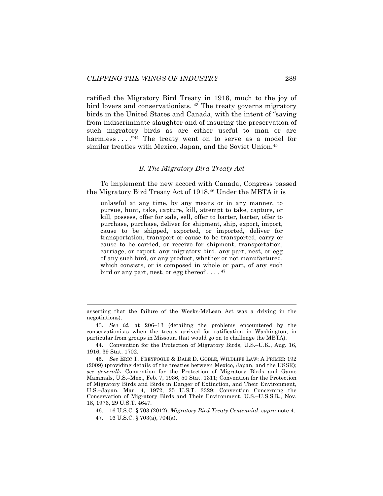ratified the Migratory Bird Treaty in 1916, much to the joy of bird lovers and conservationists. <sup>43</sup> The treaty governs migratory birds in the United States and Canada, with the intent of "saving from indiscriminate slaughter and of insuring the preservation of such migratory birds as are either useful to man or are harmless . . . . . "44 The treaty went on to serve as a model for similar treaties with Mexico, Japan, and the Soviet Union.<sup>45</sup>

## *B. The Migratory Bird Treaty Act*

To implement the new accord with Canada, Congress passed the Migratory Bird Treaty Act of 1918.46 Under the MBTA it is

unlawful at any time, by any means or in any manner, to pursue, hunt, take, capture, kill, attempt to take, capture, or kill, possess, offer for sale, sell, offer to barter, barter, offer to purchase, purchase, deliver for shipment, ship, export, import, cause to be shipped, exported, or imported, deliver for transportation, transport or cause to be transported, carry or cause to be carried, or receive for shipment, transportation, carriage, or export, any migratory bird, any part, nest, or egg of any such bird, or any product, whether or not manufactured, which consists, or is composed in whole or part, of any such bird or any part, nest, or egg thereof . . . .  $47$ 

asserting that the failure of the Weeks-McLean Act was a driving in the negotiations).

<sup>43.</sup> *See id.* at 206–13 (detailing the problems encountered by the conservationists when the treaty arrived for ratification in Washington, in particular from groups in Missouri that would go on to challenge the MBTA).

<sup>44.</sup> Convention for the Protection of Migratory Birds, U.S.–U.K., Aug. 16, 1916, 39 Stat. 1702.

<sup>45.</sup> *See* ERIC T. FREYFOGLE & DALE D. GOBLE, WILDLIFE LAW: A PRIMER 192 (2009) (providing details of the treaties between Mexico, Japan, and the USSR); *see generally* Convention for the Protection of Migratory Birds and Game Mammals, U.S.–Mex., Feb. 7, 1936, 50 Stat. 1311; Convention for the Protection of Migratory Birds and Birds in Danger of Extinction, and Their Environment, U.S.–Japan, Mar. 4, 1972, 25 U.S.T. 3329; Convention Concerning the Conservation of Migratory Birds and Their Environment, U.S.–U.S.S.R., Nov. 18, 1976, 29 U.S.T. 4647.

<sup>46.</sup> 16 U.S.C. § 703 (2012); *Migratory Bird Treaty Centennial*, *supra* note 4. 47. 16 U.S.C. § 703(a), 704(a).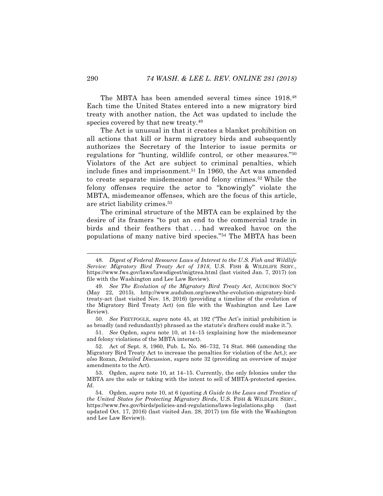The MBTA has been amended several times since 1918.48 Each time the United States entered into a new migratory bird treaty with another nation, the Act was updated to include the species covered by that new treaty.<sup>49</sup>

The Act is unusual in that it creates a blanket prohibition on all actions that kill or harm migratory birds and subsequently authorizes the Secretary of the Interior to issue permits or regulations for "hunting, wildlife control, or other measures."50 Violators of the Act are subject to criminal penalties, which include fines and imprisonment.51 In 1960, the Act was amended to create separate misdemeanor and felony crimes.<sup>52</sup> While the felony offenses require the actor to "knowingly" violate the MBTA, misdemeanor offenses, which are the focus of this article, are strict liability crimes.53

The criminal structure of the MBTA can be explained by the desire of its framers "to put an end to the commercial trade in birds and their feathers that . . . had wreaked havoc on the populations of many native bird species."54 The MBTA has been

50. *See* FREYFOGLE, *supra* note 45, at 192 ("The Act's initial prohibition is as broadly (and redundantly) phrased as the statute's drafters could make it.").

51. *See* Ogden, *supra* note 10, at 14–15 (explaining how the misdemeanor and felony violations of the MBTA interact).

52. Act of Sept. 8, 1960, Pub. L. No. 86–732, 74 Stat. 866 (amending the Migratory Bird Treaty Act to increase the penalties for violation of the Act,); *see also* Rozan, *Detailed Discussion*, *supra* note 32 (providing an overview of major amendments to the Act).

53. Ogden, *supra* note 10, at 14–15. Currently, the only felonies under the MBTA are the sale or taking with the intent to sell of MBTA-protected species. *Id.* 

54. Ogden, *supra* note 10, at 6 (quoting *A Guide to the Laws and Treaties of the United States for Protecting Migratory Birds*, U.S. FISH & WILDLIFE SERV., https://www.fws.gov/birds/policies-and-regulations/laws-legislations.php (last updated Oct. 17, 2016) (last visited Jan. 28, 2017) (on file with the Washington and Lee Law Review)).

 <sup>48.</sup> *Digest of Federal Resource Laws of Interest to the U.S. Fish and Wildlife Service: Migratory Bird Treaty Act of 1918*, U.S. FISH & WILDLIFE SERV., https://www.fws.gov/laws/lawsdigest/migtrea.html (last visited Jan. 7, 2017) (on file with the Washington and Lee Law Review).

<sup>49.</sup> *See The Evolution of the Migratory Bird Treaty Act*, AUDUBON SOC'Y (May 22, 2015), http://www.audubon.org/news/the-evolution-migratory-birdtreaty-act (last visited Nov. 18, 2016) (providing a timeline of the evolution of the Migratory Bird Treaty Act) (on file with the Washington and Lee Law Review).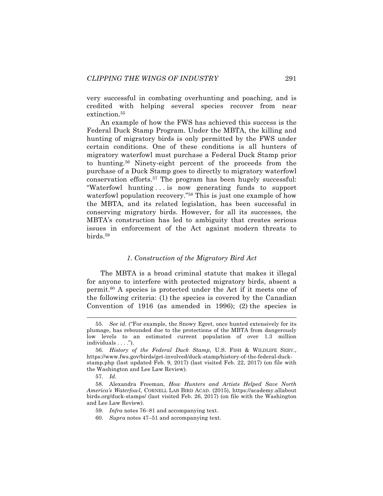very successful in combating overhunting and poaching, and is credited with helping several species recover from near extinction.<sup>55</sup>

An example of how the FWS has achieved this success is the Federal Duck Stamp Program. Under the MBTA, the killing and hunting of migratory birds is only permitted by the FWS under certain conditions. One of these conditions is all hunters of migratory waterfowl must purchase a Federal Duck Stamp prior to hunting.56 Ninety-eight percent of the proceeds from the purchase of a Duck Stamp goes to directly to migratory waterfowl conservation efforts.57 The program has been hugely successful: "Waterfowl hunting . . . is now generating funds to support waterfowl population recovery."58 This is just one example of how the MBTA, and its related legislation, has been successful in conserving migratory birds. However, for all its successes, the MBTA's construction has led to ambiguity that creates serious issues in enforcement of the Act against modern threats to birds.59

# *1. Construction of the Migratory Bird Act*

The MBTA is a broad criminal statute that makes it illegal for anyone to interfere with protected migratory birds, absent a permit.60 A species is protected under the Act if it meets one of the following criteria: (1) the species is covered by the Canadian Convention of 1916 (as amended in 1996); (2) the species is

60. *Supra* notes 47–51 and accompanying text.

 <sup>55.</sup> *See id.* ("For example, the Snowy Egret, once hunted extensively for its plumage, has rebounded due to the protections of the MBTA from dangerously low levels to an estimated current population of over 1.3 million individuals . . . .").

<sup>56.</sup> *History of the Federal Duck Stamp*, U.S. FISH & WILDLIFE SERV., https://www.fws.gov/birds/get-involved/duck-stamp/history-of-the-federal-duckstamp.php (last updated Feb. 9, 2017) (last visited Feb. 22, 2017) (on file with the Washington and Lee Law Review).

<sup>57.</sup> *Id.*

<sup>58.</sup> Alexandra Freeman, *How Hunters and Artists Helped Save North America's Waterfowl*, CORNELL LAB BIRD ACAD. (2015), https://academy.allabout birds.org/duck-stamps/ (last visited Feb. 26, 2017) (on file with the Washington and Lee Law Review).

<sup>59.</sup> *Infra* notes 76–81 and accompanying text.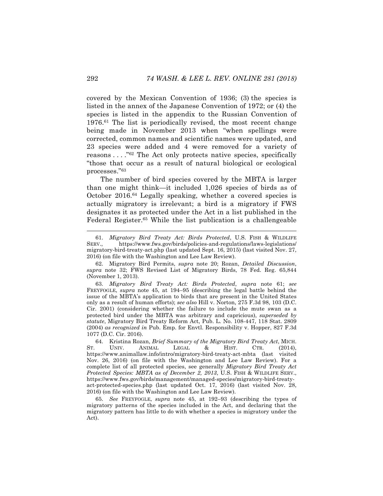covered by the Mexican Convention of 1936; (3) the species is listed in the annex of the Japanese Convention of 1972; or (4) the species is listed in the appendix to the Russian Convention of 1976.61 The list is periodically revised, the most recent change being made in November 2013 when "when spellings were corrected, common names and scientific names were updated, and 23 species were added and 4 were removed for a variety of reasons . . . . "<sup>62</sup> The Act only protects native species, specifically "those that occur as a result of natural biological or ecological processes."63

The number of bird species covered by the MBTA is larger than one might think—it included 1,026 species of birds as of October 2016.64 Legally speaking, whether a covered species is actually migratory is irrelevant; a bird is a migratory if FWS designates it as protected under the Act in a list published in the Federal Register.<sup>65</sup> While the list publication is a challengeable

 <sup>61.</sup> *Migratory Bird Treaty Act: Birds Protected*, U.S. FISH & WILDLIFE SERV., https://www.fws.gov/birds/policies-and-regulations/laws-legislations/ migratory-bird-treaty-act.php (last updated Sept. 16, 2015) (last visited Nov. 27, 2016) (on file with the Washington and Lee Law Review).

<sup>62.</sup> Migratory Bird Permits, *supra* note 20; Rozan, *Detailed Discussion*, *supra* note 32; FWS Revised List of Migratory Birds, 78 Fed. Reg. 65,844 (November 1, 2013).

<sup>63.</sup> *Migratory Bird Treaty Act: Birds Protected*, *supra* note 61; *see* FREYFOGLE, *supra* note 45, at 194–95 (describing the legal battle behind the issue of the MBTA's application to birds that are present in the United States only as a result of human efforts); *see also* Hill v. Norton, 275 F.3d 98, 103 (D.C. Cir. 2001) (considering whether the failure to include the mute swan as a protected bird under the MBTA was arbitrary and capricious), *superseded by statute*, Migratory Bird Treaty Reform Act, Pub. L. No. 108-447, 118 Stat. 2809 (2004) *as recognized in* Pub. Emp. for Envtl. Responsibility v. Hopper, 827 F.3d 1077 (D.C. Cir. 2016).

<sup>64.</sup> Kristina Rozan, *Brief Summary of the Migratory Bird Treaty Act*, MICH. ST. UNIV. ANIMAL LEGAL & HIST. CTR. (2014), https://www.animallaw.info/intro/migratory-bird-treaty-act-mbta (last visited Nov. 26, 2016) (on file with the Washington and Lee Law Review). For a complete list of all protected species, see generally *Migratory Bird Treaty Act Protected Species: MBTA as of December 2, 2013*, U.S. FISH & WILDLIFE SERV., https://www.fws.gov/birds/management/managed-species/migratory-bird-treatyact-protected-species.php (last updated Oct. 17, 2016) (last visited Nov. 28, 2016) (on file with the Washington and Lee Law Review).

<sup>65.</sup> *See* FREYFOGLE, *supra* note 45, at 192–93 (describing the types of migratory patterns of the species included in the Act, and declaring that the migratory pattern has little to do with whether a species is migratory under the Act).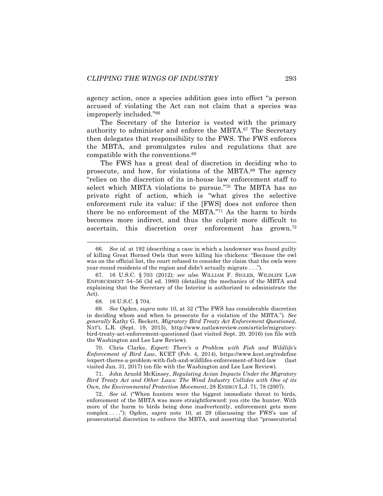agency action, once a species addition goes into effect "a person accused of violating the Act can not claim that a species was improperly included."66

The Secretary of the Interior is vested with the primary authority to administer and enforce the MBTA.<sup>67</sup> The Secretary then delegates that responsibility to the FWS. The FWS enforces the MBTA, and promulgates rules and regulations that are compatible with the conventions.68

The FWS has a great deal of discretion in deciding who to prosecute, and how, for violations of the MBTA.69 The agency "relies on the discretion of its in-house law enforcement staff to select which MBTA violations to pursue."70 The MBTA has no private right of action, which is "what gives the selective enforcement rule its value: if the [FWS] does not enforce then there be no enforcement of the MBTA."71 As the harm to birds becomes more indirect, and thus the culprit more difficult to ascertain, this discretion over enforcement has grown.<sup>72</sup>

68. 16 U.S.C. § 704.

69. *See* Ogden, *supra* note 10, at 32 ("The FWS has considerable discretion in deciding whom and when to prosecute for a violation of the MBTA.")*. See generally* Kathy G. Beckett, *Migratory Bird Treaty Act Enforcement Questioned*, NAT'L L.R. (Sept. 19, 2015), http://www.natlawreview.com/article/migratorybird-treaty-act-enforcement-questioned (last visited Sept. 20, 2016) (on file with the Washington and Lee Law Review).

70. Chris Clarke, *Expert: There's a Problem with Fish and Wildlife's Enforcement of Bird Law*, KCET (Feb. 4, 2014), https://www.kcet.org/redefine /expert-theres-a-problem-with-fish-and-wildlifes-enforcement-of-bird-law (last visited Jan. 31, 2017) (on file with the Washington and Lee Law Review).

71. John Arnold McKinsey, *Regulating Avian Impacts Under the Migratory Bird Treaty Act and Other Laws: The Wind Industry Collides with One of its Own, the Environmental Protection Movement*, 28 ENERGY L.J. 71, 78 (2007).

72. *See id.* ("When hunters were the biggest immediate threat to birds, enforcement of the MBTA was more straightforward: you cite the hunter. With more of the harm to birds being done inadvertently, enforcement gets more complex . . . ."); Ogden, *supra* note 10, at 29 (discussing the FWS's use of prosecutorial discretion to enforce the MBTA, and asserting that "prosecutorial

 <sup>66.</sup> *See id.* at 192 (describing a case in which a landowner was found guilty of killing Great Horned Owls that were killing his chickens: "Because the owl was on the official list, the court refused to consider the claim that the owls were year-round residents of the region and didn't actually migrate . . .").

<sup>67.</sup> 16 U.S.C. § 703 (2012); *see also* WILLIAM F. SIGLER, WILDLIFE LAW ENFORCEMENT 54–56 (3d ed. 1980) (detailing the mechanics of the MBTA and explaining that the Secretary of the Interior is authorized to administrate the Act).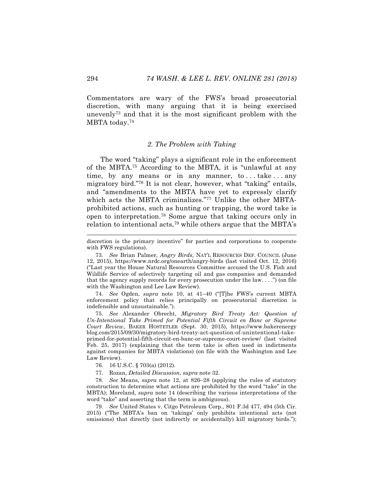Commentators are wary of the FWS's broad prosecutorial discretion, with many arguing that it is being exercised unevenly73 and that it is the most significant problem with the MBTA today.74

# *2. The Problem with Taking*

The word "taking" plays a significant role in the enforcement of the MBTA.75 According to the MBTA, it is "unlawful at any time, by any means or in any manner, to ... take ... any migratory bird."76 It is not clear, however, what "taking" entails, and "amendments to the MBTA have yet to expressly clarify which acts the MBTA criminalizes."77 Unlike the other MBTAprohibited actions, such as hunting or trapping, the word take is open to interpretation.78 Some argue that taking occurs only in relation to intentional acts,<sup>79</sup> while others argue that the MBTA's

74. *See* Ogden, *supra* note 10, at 41–40 ("[T]he FWS's current MBTA enforcement policy that relies principally on prosecutorial discretion is indefensible and unsustainable.").

75. *See* Alexander Obrecht, *Migratory Bird Treaty Act: Question of Un-Intentional Take Primed for Potential Fifth Circuit en Banc or Supreme Court Review*, BAKER HOSTETLER (Sept. 30, 2015), https://www.bakerenergy blog.com/2015/09/30/migratory-bird-treaty-act-question-of-unintentional-takeprimed-for-potential-fifth-circuit-en-banc-or-supreme-court-review/ (last visited Feb. 25, 2017) (explaining that the term take is often used in indictments against companies for MBTA violations) (on file with the Washington and Lee Law Review).

76. 16 U.S.C. § 703(a) (2012).

77. Rozan, *Detailed Discussion*, *supra* note 32.

78. *See* Means, *supra* note 12, at 826–28 (applying the rules of statutory construction to determine what actions are prohibited by the word "take" in the MBTA); Moreland, *supra* note 14 (describing the various interpretations of the word "take" and asserting that the term is ambiguous).

79. *See* United States v. Citgo Petroleum Corp., 801 F.3d 477, 494 (5th Cir. 2015) ("The MBTA's ban on 'takings' only prohibits intentional acts (not omissions) that directly (not indirectly or accidentally) kill migratory birds.");

discretion is the primary incentive" for parties and corporations to cooperate with FWS regulations).

<sup>73.</sup> *See* Brian Palmer, *Angry Birds*, NAT'L RESOURCES DEF. COUNCIL (June 12, 2015), https://www.nrdc.org/onearth/angry-birds (last visited Oct. 12, 2016) ("Last year the House Natural Resources Committee accused the U.S. Fish and Wildlife Service of selectively targeting oil and gas companies and demanded that the agency supply records for every prosecution under the law.  $\ldots$ ") (on file with the Washington and Lee Law Review).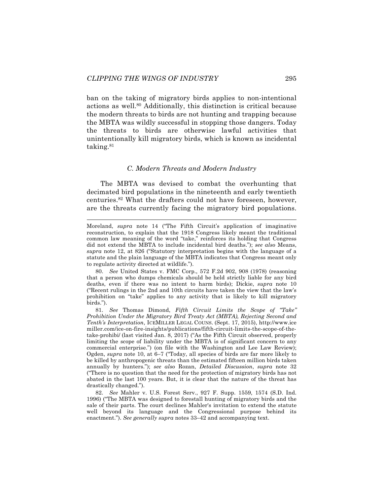ban on the taking of migratory birds applies to non-intentional actions as well.80 Additionally, this distinction is critical because the modern threats to birds are not hunting and trapping because the MBTA was wildly successful in stopping those dangers. Today the threats to birds are otherwise lawful activities that unintentionally kill migratory birds, which is known as incidental taking.81

#### *C. Modern Threats and Modern Industry*

The MBTA was devised to combat the overhunting that decimated bird populations in the nineteenth and early twentieth centuries.82 What the drafters could not have foreseen, however, are the threats currently facing the migratory bird populations.

80. *See* United States v. FMC Corp., 572 F.2d 902, 908 (1978) (reasoning that a person who dumps chemicals should be held strictly liable for any bird deaths, even if there was no intent to harm birds); Dickie, *supra* note 10 ("Recent rulings in the 2nd and 10th circuits have taken the view that the law's prohibition on "take" applies to any activity that is likely to kill migratory birds.").

Moreland, *supra* note 14 ("The Fifth Circuit's application of imaginative reconstruction, to explain that the 1918 Congress likely meant the traditional common law meaning of the word "take," reinforces its holding that Congress did not extend the MBTA to include incidental bird deaths."); *see also* Means, *supra* note 12, at 826 ("Statutory interpretation begins with the language of a statute and the plain language of the MBTA indicates that Congress meant only to regulate activity directed at wildlife.").

<sup>81.</sup> *See* Thomas Dimond, *Fifth Circuit Limits the Scope of "Take" Prohibition Under the Migratory Bird Treaty Act (MBTA), Rejecting Second and Tenth's Interpretation*, ICEMILLER LEGAL COUNS. (Sept. 17, 2015), http://www.ice miller.com/ice-on-fire-insights/publications/fifth-circuit-limits-the-scope-of-thetake-prohibi/ (last visited Jan. 8, 2017) ("As the Fifth Circuit observed, properly limiting the scope of liability under the MBTA is of significant concern to any commercial enterprise.") (on file with the Washington and Lee Law Review); Ogden, *supra* note 10, at 6–7 ("Today, all species of birds are far more likely to be killed by anthropogenic threats than the estimated fifteen million birds taken annually by hunters."); *see also* Rozan, *Detailed Discussion*, *supra* note 32 ("There is no question that the need for the protection of migratory birds has not abated in the last 100 years. But, it is clear that the nature of the threat has drastically changed.").

<sup>82.</sup> *See* Mahler v. U.S. Forest Serv., 927 F. Supp. 1559, 1574 (S.D. Ind. 1996) ("The MBTA was designed to forestall hunting of migratory birds and the sale of their parts. The court declines Mahler's invitation to extend the statute well beyond its language and the Congressional purpose behind its enactment."). *See generally supra* notes 33–42 and accompanying text.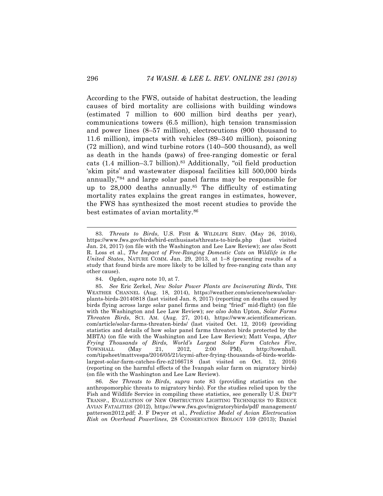According to the FWS, outside of habitat destruction, the leading causes of bird mortality are collisions with building windows (estimated 7 million to 600 million bird deaths per year), communications towers (6.5 million), high tension transmission and power lines (8–57 million), electrocutions (900 thousand to 11.6 million), impacts with vehicles (89–340 million), poisoning (72 million), and wind turbine rotors (140–500 thousand), as well as death in the hands (paws) of free-ranging domestic or feral cats  $(1.4 \text{ million} - 3.7 \text{ billion})$ .<sup>83</sup> Additionally, "oil field production 'skim pits' and wastewater disposal facilities kill 500,000 birds annually,"84 and large solar panel farms may be responsible for up to 28,000 deaths annually.85 The difficulty of estimating mortality rates explains the great ranges in estimates, however, the FWS has synthesized the most recent studies to provide the best estimates of avian mortality.86

84. Ogden, *supra* note 10, at 7.

 <sup>83.</sup> *Threats to Birds*, U.S. FISH & WILDLIFE SERV. (May 26, 2016), https://www.fws.gov/birds/bird-enthusiasts/threats-to-birds.php (last visited Jan. 24, 2017) (on file with the Washington and Lee Law Review); *see also* Scott R. Loss et al., *The Impact of Free-Ranging Domestic Cats on Wildlife in the United States*, NATURE COMM. Jan. 29, 2013, at 1–8 (presenting results of a study that found birds are more likely to be killed by free-ranging cats than any other cause).

<sup>85.</sup> *See* Eric Zerkel, *New Solar Power Plants are Incinerating Birds*, THE WEATHER CHANNEL (Aug. 18, 2014), https://weather.com/science/news/solarplants-birds-20140818 (last visited Jan. 8, 2017) (reporting on deaths caused by birds flying across large solar panel firms and being "fried" mid-flight) (on file with the Washington and Lee Law Review); *see also* John Upton, *Solar Farms Threaten Birds*, SCI. AM. (Aug. 27, 2014), https://www.scientificamerican. com/article/solar-farms-threaten-birds/ (last visited Oct. 12, 2016) (providing statistics and details of how solar panel farms threaten birds protected by the MBTA) (on file with the Washington and Lee Law Review); Matt Vespa, *After Frying Thousands of Birds, World's Largest Solar Farm Catches Fire*, TOWNHALL (May 21, 2012, 2:00 PM), http://townhall. com/tipsheet/mattvespa/2016/05/21/icymi-after-frying-thousands-of-birds-worldslargest-solar-farm-catches-fire-n2166718 (last visited on Oct. 12, 2016) (reporting on the harmful effects of the Ivanpah solar farm on migratory birds) (on file with the Washington and Lee Law Review).

<sup>86.</sup> *See Threats to Birds*, *supra* note 83 (providing statistics on the anthropomorphic threats to migratory birds). For the studies relied upon by the Fish and Wildlife Service in compiling these statistics, see generally U.S. DEP'T TRANSP., EVALUATION OF NEW OBSTRUCTION LIGHTING TECHNIQUES TO REDUCE AVIAN FATALITIES (2012), https://www.fws.gov/migratorybirds/pdf/ management/ patterson2012.pdf; J. F Dwyer et al., *Predictive Model of Avian Electrocution Risk on Overhead Powerlines*, 28 CONSERVATION BIOLOGY 159 (2013); Daniel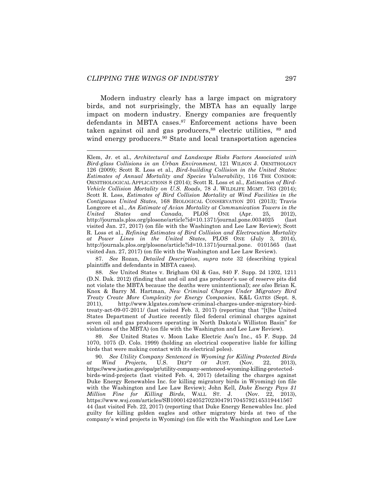Modern industry clearly has a large impact on migratory birds, and not surprisingly, the MBTA has an equally large impact on modern industry. Energy companies are frequently defendants in MBTA cases.<sup>87</sup> Enforcement actions have been taken against oil and gas producers,<sup>88</sup> electric utilities, <sup>89</sup> and wind energy producers.<sup>90</sup> State and local transportation agencies

87. *See* Rozan, *Detailed Description*, *supra* note 32 (describing typical plaintiffs and defendants in MBTA cases).

89. *See* United States v. Moon Lake Electric Ass'n Inc., 45 F. Supp. 2d 1070, 1075 (D. Colo. 1999) (holding an electrical cooperative liable for killing birds that were making contact with its electrical poles).

90. *See Utility Company Sentenced in Wyoming for Killing Protected Birds at Wind Projects*, U.S. DEP'T OF JUST. (Nov. 22, 2013), https://www.justice.gov/opa/pr/utility-company-sentenced-wyoming-killing-protectedbirds-wind-projects (last visited Feb. 4, 2017) (detailing the charges against Duke Energy Renewables Inc. for killing migratory birds in Wyoming) (on file with the Washington and Lee Law Review); John Kell, *Duke Energy Pays \$1 Million Fine for Killing Birds*, WALL ST. J. (Nov. 22, 2013), https://www.wsj.com/articles/SB100014240527023047917045792145319441567 44 (last visited Feb. 22, 2017) (reporting that Duke Energy Renewables Inc. pled guilty for killing golden eagles and other migratory birds at two of the company's wind projects in Wyoming) (on file with the Washington and Lee Law

Klem, Jr. et al., *Architectural and Landscape Risks Factors Associated with Bird-glass Collisions in an Urban Environment*, 121 WILSON J. ORNITHOLOGY 126 (2009); Scott R. Loss et al., *Bird-building Collision in the United States: Estimates of Annual Mortality and Species Vulnerability*, 116 THE CONDOR: ORNITHOLOGICAL APPLICATIONS 8 (2014); Scott R. Loss et al., *Estimation of Bird-Vehicle Collision Mortality on U.S. Roads*, 78 J. WILDLIFE MGMT. 763 (2014); Scott R. Loss, *Estimates of Bird Collision Mortality at Wind Facilities in the Contiguous United States*, 168 BIOLOGICAL CONSERVATION 201 (2013); Travis Longcore et al., *An Estimate of Avian Mortality at Communication Towers in the United States and Canada*, PLOS ONE (Apr. 25, 2012), http://journals.plos.org/plosone/article?id=10.1371/journal.pone.0034025 (last visited Jan. 27, 2017) (on file with the Washington and Lee Law Review); Scott R. Loss et al., *Refining Estimates of Bird Collision and Electrocution Mortality at Power Lines in the United States*, PLOS ONE (July 3, 2014), http://journals.plos.org/plosone/article?id=10.1371/journal.pone. 0101565 (last visited Jan. 27, 2017) (on file with the Washington and Lee Law Review).

<sup>88.</sup> *See* United States v. Brigham Oil & Gas, 840 F. Supp. 2d 1202, 1211 (D.N. Dak. 2012) (finding that and oil and gas producer's use of reserve pits did not violate the MBTA because the deaths were unintentional); *see also* Brian K. Knox & Barry M. Hartman, *New Criminal Charges Under Migratory Bird Treaty Create More Complexity for Energy Companies*, K&L GATES (Sept. 8, 2011), http://www.klgates.com/new-criminal-charges-under-migratory-birdtreaty-act-09-07-2011/ (last visited Feb. 3, 2017) (reporting that "[t]he United States Department of Justice recently filed federal criminal charges against seven oil and gas producers operating in North Dakota's Williston Basin" for violations of the MBTA) (on file with the Washington and Lee Law Review).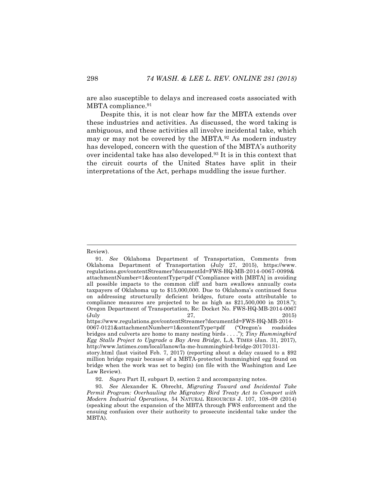are also susceptible to delays and increased costs associated with MBTA compliance.<sup>91</sup>

Despite this, it is not clear how far the MBTA extends over these industries and activities. As discussed, the word taking is ambiguous, and these activities all involve incidental take, which may or may not be covered by the MBTA.92 As modern industry has developed, concern with the question of the MBTA's authority over incidental take has also developed.93 It is in this context that the circuit courts of the United States have split in their interpretations of the Act, perhaps muddling the issue further.

Review).

<sup>91.</sup> *See* Oklahoma Department of Transportation, Comments from Oklahoma Department of Transportation (July 27, 2015), https://www. regulations.gov/contentStreamer?documentId=FWS-HQ-MB-2014-0067-0099& attachmentNumber=1&contentType=pdf ("Compliance with [MBTA] in avoiding all possible impacts to the common cliff and barn swallows annually costs taxpayers of Oklahoma up to \$15,000,000. Due to Oklahoma's continued focus on addressing structurally deficient bridges, future costs attributable to compliance measures are projected to be as high as \$21,500,000 in 2018."); Oregon Department of Transportation, Re: Docket No. FWS-HQ-MB-2014-0067 (July 27, 2015) https://www.regulations.gov/contentStreamer?documentId=FWS-HQ-MB-2014- 0067-0121&attachmentNumber=1&contentType=pdf ("Oregon's roadsides

bridges and culverts are home to many nesting birds . . . ."); *Tiny Hummingbird Egg Stalls Project to Upgrade a Bay Area Bridge*, L.A. TIMES (Jan. 31, 2017), http://www.latimes.com/local/lanow/la-me-hummingbird-bridge-20170131-

story.html (last visited Feb. 7, 2017) (reporting about a delay caused to a \$92 million bridge repair because of a MBTA-protected hummingbird egg found on bridge when the work was set to begin) (on file with the Washington and Lee Law Review).

<sup>92.</sup> *Supra* Part II, subpart D, section 2 and accompanying notes.

<sup>93.</sup> *See* Alexander K. Obrecht, *Migrating Toward and Incidental Take Permit Program: Overhauling the Migratory Bird Treaty Act to Comport with Modern Industrial Operations*, 54 NATURAL RESOURCES J. 107, 108–09 (2014) (speaking about the expansion of the MBTA through FWS enforcement and the ensuing confusion over their authority to prosecute incidental take under the MBTA).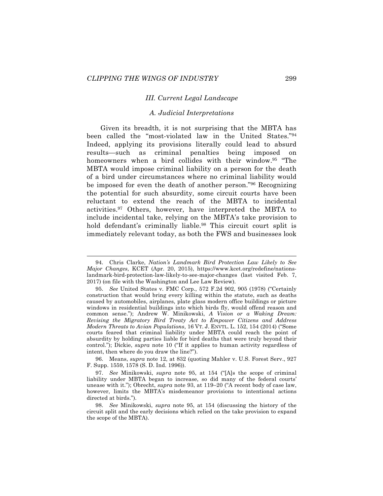#### *III. Current Legal Landscape*

### *A. Judicial Interpretations*

Given its breadth, it is not surprising that the MBTA has been called the "most-violated law in the United States."94 Indeed, applying its provisions literally could lead to absurd results—such as criminal penalties being imposed on homeowners when a bird collides with their window.<sup>95</sup> "The MBTA would impose criminal liability on a person for the death of a bird under circumstances where no criminal liability would be imposed for even the death of another person."96 Recognizing the potential for such absurdity, some circuit courts have been reluctant to extend the reach of the MBTA to incidental activities.97 Others, however, have interpreted the MBTA to include incidental take, relying on the MBTA's take provision to hold defendant's criminally liable.<sup>98</sup> This circuit court split is immediately relevant today, as both the FWS and businesses look

96. Means, *supra* note 12, at 832 (quoting Mahler v. U.S. Forest Serv., 927 F. Supp. 1559, 1578 (S. D. Ind. 1996)).

 <sup>94.</sup> Chris Clarke, *Nation's Landmark Bird Protection Law Likely to See Major Changes*, KCET (Apr. 20, 2015), https://www.kcet.org/redefine/nationslandmark-bird-protection-law-likely-to-see-major-changes (last visited Feb. 7, 2017) (on file with the Washington and Lee Law Review).

<sup>95.</sup> *See* United States v. FMC Corp., 572 F.2d 902, 905 (1978) ("Certainly construction that would bring every killing within the statute, such as deaths caused by automobiles, airplanes, plate glass modern office buildings or picture windows in residential buildings into which birds fly, would offend reason and common sense."); Andrew W. Minikowski, *A Vision or a Waking Dream: Revising the Migratory Bird Treaty Act to Empower Citizens and Address Modern Threats to Avian Populations*, 16 VT. J. ENVTL. L. 152, 154 (2014) ("Some courts feared that criminal liability under MBTA could reach the point of absurdity by holding parties liable for bird deaths that were truly beyond their control."); Dickie, *supra* note 10 ("If it applies to human activity regardless of intent, then where do you draw the line?").

<sup>97.</sup> *See* Minikowski, *supra* note 95, at 154 ("[A]s the scope of criminal liability under MBTA began to increase, so did many of the federal courts' unease with it."); Obrecht, *supra* note 93, at 119–20 ("A recent body of case law, however, limits the MBTA's misdemeanor provisions to intentional actions directed at birds.").

<sup>98.</sup> *See* Minikowski, *supra* note 95, at 154 (discussing the history of the circuit split and the early decisions which relied on the take provision to expand the scope of the MBTA).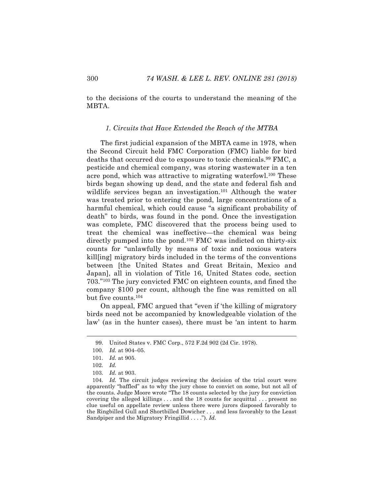to the decisions of the courts to understand the meaning of the MBTA.

#### *1. Circuits that Have Extended the Reach of the MTBA*

The first judicial expansion of the MBTA came in 1978, when the Second Circuit held FMC Corporation (FMC) liable for bird deaths that occurred due to exposure to toxic chemicals.<sup>99</sup> FMC, a pesticide and chemical company, was storing wastewater in a ten acre pond, which was attractive to migrating waterfowl.<sup>100</sup> These birds began showing up dead, and the state and federal fish and wildlife services began an investigation.<sup>101</sup> Although the water was treated prior to entering the pond, large concentrations of a harmful chemical, which could cause "a significant probability of death" to birds, was found in the pond. Once the investigation was complete, FMC discovered that the process being used to treat the chemical was ineffective—the chemical was being directly pumped into the pond.102 FMC was indicted on thirty-six counts for "unlawfully by means of toxic and noxious waters kill[ing] migratory birds included in the terms of the conventions between [the United States and Great Britain, Mexico and Japan], all in violation of Title 16, United States code, section 703."103 The jury convicted FMC on eighteen counts, and fined the company \$100 per count, although the fine was remitted on all but five counts.104

On appeal, FMC argued that "even if 'the killing of migratory birds need not be accompanied by knowledgeable violation of the law' (as in the hunter cases), there must be 'an intent to harm

 <sup>99.</sup> United States v. FMC Corp., 572 F.2d 902 (2d Cir. 1978).

<sup>100.</sup> *Id.* at 904–05.

<sup>101.</sup> *Id.* at 905.

<sup>102.</sup> *Id.*

<sup>103.</sup> *Id.* at 903.

<sup>104.</sup> *Id.* The circuit judges reviewing the decision of the trial court were apparently "baffled" as to why the jury chose to convict on some, but not all of the counts. Judge Moore wrote "The 18 counts selected by the jury for conviction covering the alleged killings . . . and the 18 counts for acquittal . . . present no clue useful on appellate review unless there were jurors disposed favorably to the Ringbilled Gull and Shortbilled Dowicher . . . and less favorably to the Least Sandpiper and the Migratory Fringillid . . . ."). *Id.*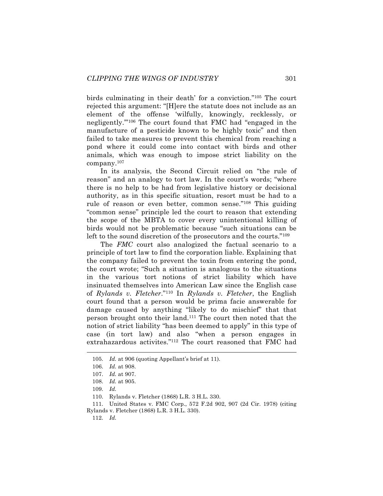birds culminating in their death' for a conviction."105 The court rejected this argument: "[H]ere the statute does not include as an element of the offense 'wilfully, knowingly, recklessly, or negligently.'"106 The court found that FMC had "engaged in the manufacture of a pesticide known to be highly toxic" and then failed to take measures to prevent this chemical from reaching a pond where it could come into contact with birds and other animals, which was enough to impose strict liability on the company. $107$ 

In its analysis, the Second Circuit relied on "the rule of reason" and an analogy to tort law. In the court's words; "where there is no help to be had from legislative history or decisional authority, as in this specific situation, resort must be had to a rule of reason or even better, common sense."108 This guiding "common sense" principle led the court to reason that extending the scope of the MBTA to cover every unintentional killing of birds would not be problematic because "such situations can be left to the sound discretion of the prosecutors and the courts."109

The *FMC* court also analogized the factual scenario to a principle of tort law to find the corporation liable. Explaining that the company failed to prevent the toxin from entering the pond, the court wrote; "Such a situation is analogous to the situations in the various tort notions of strict liability which have insinuated themselves into American Law since the English case of *Rylands v. Fletcher*."110 In *Rylands v. Fletcher*, the English court found that a person would be prima facie answerable for damage caused by anything "likely to do mischief" that that person brought onto their land.111 The court then noted that the notion of strict liability "has been deemed to apply" in this type of case (in tort law) and also "when a person engages in extrahazardous activites."112 The court reasoned that FMC had

112. *Id.*

 <sup>105.</sup> *Id.* at 906 (quoting Appellant's brief at 11).

<sup>106.</sup> *Id.* at 908.

<sup>107.</sup> *Id.* at 907.

<sup>108.</sup> *Id.* at 905.

<sup>109.</sup> *Id.*

<sup>110.</sup> Rylands v. Fletcher (1868) L.R. 3 H.L. 330.

<sup>111.</sup> United States v. FMC Corp., 572 F.2d 902, 907 (2d Cir. 1978) (citing Rylands v. Fletcher (1868) L.R. 3 H.L. 330).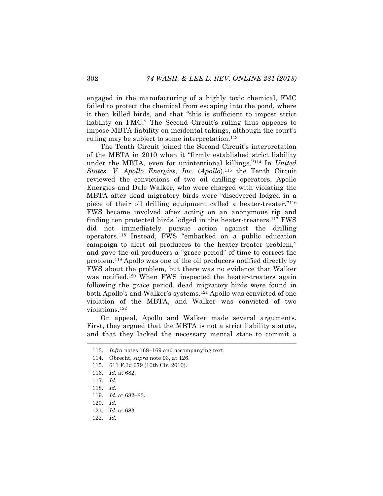engaged in the manufacturing of a highly toxic chemical, FMC failed to protect the chemical from escaping into the pond, where it then killed birds, and that "this is sufficient to impost strict liability on FMC." The Second Circuit's ruling thus appears to impose MBTA liability on incidental takings, although the court's ruling may be subject to some interpretation.<sup>113</sup>

The Tenth Circuit joined the Second Circuit's interpretation of the MBTA in 2010 when it "firmly established strict liability under the MBTA, even for unintentional killings."114 In *United States. V. Apollo Energies, Inc.* (*Apollo*), <sup>115</sup> the Tenth Circuit reviewed the convictions of two oil drilling operators, Apollo Energies and Dale Walker, who were charged with violating the MBTA after dead migratory birds were "discovered lodged in a piece of their oil drilling equipment called a heater-treater."116 FWS became involved after acting on an anonymous tip and finding ten protected birds lodged in the heater-treaters.117 FWS did not immediately pursue action against the drilling operators.118 Instead, FWS "embarked on a public education campaign to alert oil producers to the heater-treater problem," and gave the oil producers a "grace period" of time to correct the problem.119 Apollo was one of the oil producers notified directly by FWS about the problem, but there was no evidence that Walker was notified.<sup>120</sup> When FWS inspected the heater-treaters again following the grace period, dead migratory birds were found in both Apollo's and Walker's systems.121 Apollo was convicted of one violation of the MBTA, and Walker was convicted of two violations.122

On appeal, Apollo and Walker made several arguments. First, they argued that the MBTA is not a strict liability statute, and that they lacked the necessary mental state to commit a

 <sup>113.</sup> *Infra* notes 168–169 and accompanying text.

<sup>114.</sup> Obrecht, *supra* note 93, at 126.

<sup>115.</sup> 611 F.3d 679 (10th Cir. 2010).

<sup>116.</sup> *Id.* at 682.

<sup>117.</sup> *Id.*

<sup>118.</sup> *Id.*

<sup>119.</sup> *Id.* at 682–83.

<sup>120.</sup> *Id.*

<sup>121.</sup> *Id.* at 683.

<sup>122.</sup> *Id.*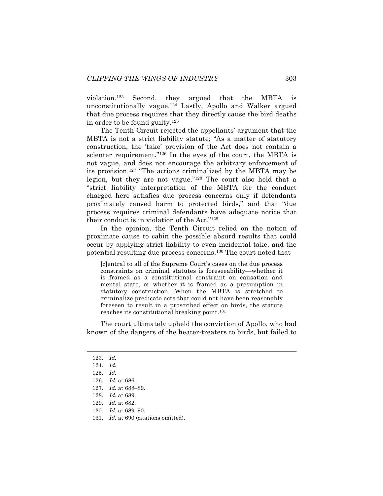violation.123 Second, they argued that the MBTA is unconstitutionally vague.124 Lastly, Apollo and Walker argued that due process requires that they directly cause the bird deaths in order to be found guilty.125

The Tenth Circuit rejected the appellants' argument that the MBTA is not a strict liability statute; "As a matter of statutory construction, the 'take' provision of the Act does not contain a scienter requirement."<sup>126</sup> In the eyes of the court, the MBTA is not vague, and does not encourage the arbitrary enforcement of its provision.127 "The actions criminalized by the MBTA may be legion, but they are not vague."128 The court also held that a "strict liability interpretation of the MBTA for the conduct charged here satisfies due process concerns only if defendants proximately caused harm to protected birds," and that "due process requires criminal defendants have adequate notice that their conduct is in violation of the Act."129

In the opinion, the Tenth Circuit relied on the notion of proximate cause to cabin the possible absurd results that could occur by applying strict liability to even incidental take, and the potential resulting due process concerns.130 The court noted that

[c]entral to all of the Supreme Court's cases on the due process constraints on criminal statutes is foreseeability—whether it is framed as a constitutional constraint on causation and mental state, or whether it is framed as a presumption in statutory construction. When the MBTA is stretched to criminalize predicate acts that could not have been reasonably foreseen to result in a proscribed effect on birds, the statute reaches its constitutional breaking point.131

The court ultimately upheld the conviction of Apollo, who had known of the dangers of the heater-treaters to birds, but failed to

131. *Id.* at 690 (citations omitted).

 <sup>123.</sup> *Id.*

<sup>124.</sup> *Id.*

<sup>125.</sup> *Id.*

<sup>126.</sup> *Id.* at 686.

<sup>127.</sup> *Id.* at 688–89.

<sup>128.</sup> *Id.* at 689.

<sup>129.</sup> *Id.* at 682.

<sup>130.</sup> *Id.* at 689–90.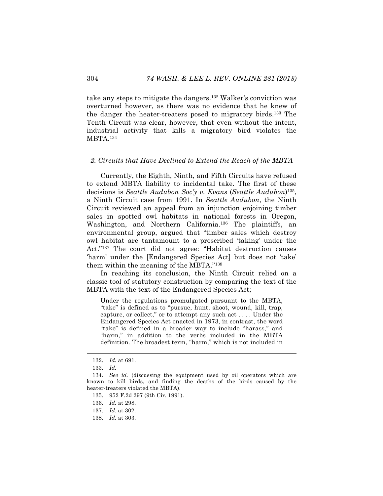take any steps to mitigate the dangers.132 Walker's conviction was overturned however, as there was no evidence that he knew of the danger the heater-treaters posed to migratory birds.133 The Tenth Circuit was clear, however, that even without the intent, industrial activity that kills a migratory bird violates the MBTA.134

#### *2. Circuits that Have Declined to Extend the Reach of the MBTA*

Currently, the Eighth, Ninth, and Fifth Circuits have refused to extend MBTA liability to incidental take. The first of these decisions is *Seattle Audubon Soc'y v. Evans* (*Seattle Audubon*)135, a Ninth Circuit case from 1991. In *Seattle Audubon*, the Ninth Circuit reviewed an appeal from an injunction enjoining timber sales in spotted owl habitats in national forests in Oregon, Washington, and Northern California.<sup>136</sup> The plaintiffs, an environmental group, argued that "timber sales which destroy owl habitat are tantamount to a proscribed 'taking' under the Act."137 The court did not agree: "Habitat destruction causes 'harm' under the [Endangered Species Act] but does not 'take' them within the meaning of the MBTA."138

In reaching its conclusion, the Ninth Circuit relied on a classic tool of statutory construction by comparing the text of the MBTA with the text of the Endangered Species Act;

Under the regulations promulgated pursuant to the MBTA, "take" is defined as to "pursue, hunt, shoot, wound, kill, trap, capture, or collect," or to attempt any such act . . . . Under the Endangered Species Act enacted in 1973, in contrast, the word "take" is defined in a broader way to include "harass," and "harm," in addition to the verbs included in the MBTA definition. The broadest term, "harm," which is not included in

 <sup>132.</sup> *Id.* at 691.

<sup>133.</sup> *Id.*

<sup>134.</sup> *See id.* (discussing the equipment used by oil operators which are known to kill birds, and finding the deaths of the birds caused by the heater-treaters violated the MBTA).

<sup>135.</sup> 952 F.2d 297 (9th Cir. 1991).

<sup>136.</sup> *Id.* at 298.

<sup>137.</sup> *Id.* at 302.

<sup>138.</sup> *Id.* at 303.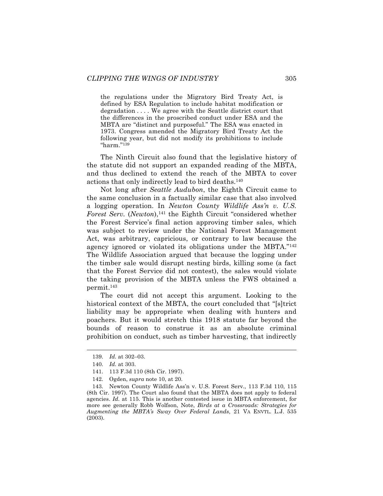the regulations under the Migratory Bird Treaty Act, is defined by ESA Regulation to include habitat modification or degradation . . . . We agree with the Seattle district court that the differences in the proscribed conduct under ESA and the MBTA are "distinct and purposeful." The ESA was enacted in 1973. Congress amended the Migratory Bird Treaty Act the following year, but did not modify its prohibitions to include "harm."139

The Ninth Circuit also found that the legislative history of the statute did not support an expanded reading of the MBTA, and thus declined to extend the reach of the MBTA to cover actions that only indirectly lead to bird deaths.140

Not long after *Seattle Audubon*, the Eighth Circuit came to the same conclusion in a factually similar case that also involved a logging operation. In *Newton County Wildlife Ass'n v. U.S. Forest Serv.* (*Newton*),<sup>141</sup> the Eighth Circuit "considered whether the Forest Service's final action approving timber sales, which was subject to review under the National Forest Management Act, was arbitrary, capricious, or contrary to law because the agency ignored or violated its obligations under the MBTA."142 The Wildlife Association argued that because the logging under the timber sale would disrupt nesting birds, killing some (a fact that the Forest Service did not contest), the sales would violate the taking provision of the MBTA unless the FWS obtained a permit.143

The court did not accept this argument. Looking to the historical context of the MBTA, the court concluded that "[s]trict liability may be appropriate when dealing with hunters and poachers. But it would stretch this 1918 statute far beyond the bounds of reason to construe it as an absolute criminal prohibition on conduct, such as timber harvesting, that indirectly

 <sup>139.</sup> *Id.* at 302–03.

<sup>140.</sup> *Id.* at 303.

<sup>141.</sup> 113 F.3d 110 (8th Cir. 1997).

<sup>142.</sup> Ogden, *supra* note 10, at 20.

<sup>143.</sup> Newton County Wildlife Ass'n v. U.S. Forest Serv., 113 F.3d 110, 115 (8th Cir. 1997). The Court also found that the MBTA does not apply to federal agencies. *Id.* at 115. This is another contested issue in MBTA enforcement, for more see generally Robb Wolfson, Note, *Birds at a Crossroads: Strategies for Augmenting the MBTA's Sway Over Federal Lands*, 21 VA ENVTL. L.J. 535 (2003).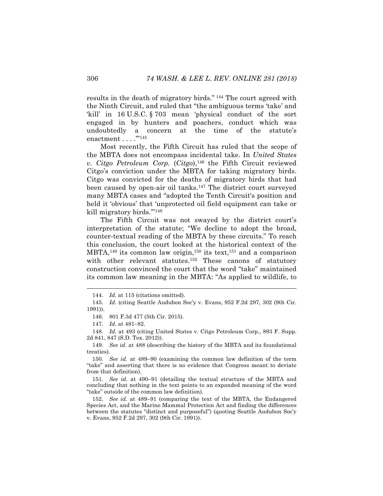results in the death of migratory birds." <sup>144</sup> The court agreed with the Ninth Circuit, and ruled that "the ambiguous terms 'take' and 'kill' in 16 U.S.C. § 703 mean 'physical conduct of the sort engaged in by hunters and poachers, conduct which was undoubtedly a concern at the time of the statute's enactment . . . . "<sup>145</sup>

Most recently, the Fifth Circuit has ruled that the scope of the MBTA does not encompass incidental take. In *United States v. Citgo Petroleum Corp.* (*Citgo*),146 the Fifth Circuit reviewed Citgo's conviction under the MBTA for taking migratory birds. Citgo was convicted for the deaths of migratory birds that had been caused by open-air oil tanks.<sup>147</sup> The district court surveyed many MBTA cases and "adopted the Tenth Circuit's position and held it 'obvious' that 'unprotected oil field equipment can take or kill migratory birds.'"148

The Fifth Circuit was not swayed by the district court's interpretation of the statute; "We decline to adopt the broad, counter-textual reading of the MBTA by these circuits." To reach this conclusion, the court looked at the historical context of the MBTA,<sup>149</sup> its common law origin,<sup>150</sup> its text,<sup>151</sup> and a comparison with other relevant statutes.<sup>152</sup> These canons of statutory construction convinced the court that the word "take" maintained its common law meaning in the MBTA: "As applied to wildlife, to

151. *See id.* at 490–91 (detailing the textual structure of the MBTA and concluding that nothing in the text points to an expanded meaning of the word "take" outside of the common law definition).

152. *See id.* at 489–91 (comparing the text of the MBTA, the Endangered Species Act, and the Marine Mammal Protection Act and finding the differences between the statutes "distinct and purposeful") (quoting Seattle Audubon Soc'y v. Evans, 952 F.2d 297, 302 (9th Cir. 1991)).

 <sup>144.</sup> *Id.* at 115 (citations omitted).

<sup>145.</sup> *Id.* (citing Seattle Audubon Soc'y v. Evans, 952 F.2d 297, 302 (9th Cir. 1991)).

<sup>146.</sup> 801 F.3d 477 (5th Cir. 2015).

<sup>147.</sup> *Id.* at 481–82.

<sup>148.</sup> *Id.* at 493 (citing United States v. Citgo Petroleum Corp., 893 F. Supp. 2d 841, 847 (S.D. Tex. 2012)).

<sup>149.</sup> *See id.* at 488 (describing the history of the MBTA and its foundational treaties).

<sup>150.</sup> *See id.* at 489–90 (examining the common law definition of the term "take" and asserting that there is no evidence that Congress meant to deviate from that definition).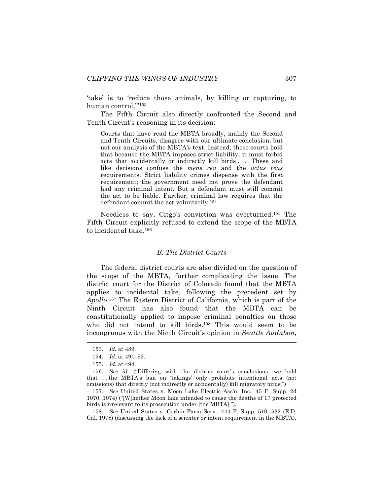'take' is to 'reduce those animals, by killing or capturing, to human control.'"153

The Fifth Circuit also directly confronted the Second and Tenth Circuit's reasoning in its decision:

Courts that have read the MBTA broadly, mainly the Second and Tenth Circuits, disagree with our ultimate conclusion, but not our analysis of the MBTA's text. Instead, these courts hold that because the MBTA imposes strict liability, it must forbid acts that accidentally or indirectly kill birds . . . . These and like decisions confuse the *mens rea* and the *actus reus*  requirements. Strict liability crimes dispense with the first requirement; the government need not prove the defendant had any criminal intent. But a defendant must still commit the act to be liable. Further, criminal law requires that the defendant commit the act voluntarily.154

Needless to say, Citgo's conviction was overturned.155 The Fifth Circuit explicitly refused to extend the scope of the MBTA to incidental take.156

#### *B. The District Courts*

The federal district courts are also divided on the question of the scope of the MBTA, further complicating the issue. The district court for the District of Colorado found that the MBTA applies to incidental take, following the precedent set by *Apollo*.157 The Eastern District of California, which is part of the Ninth Circuit has also found that the MBTA can be constitutionally applied to impose criminal penalties on those who did not intend to kill birds.<sup>158</sup> This would seem to be incongruous with the Ninth Circuit's opinion in *Seattle Audubon*,

 <sup>153.</sup> *Id.* at 489.

<sup>154.</sup> *Id.* at 491–92.

<sup>155.</sup> *Id.* at 494.

<sup>156.</sup> *See id.* ("Differing with the district court's conclusions, we hold that . . . the MBTA's ban on 'takings' only prohibits intentional acts (not omissions) that directly (not indirectly or accidentally) kill migratory birds.")

<sup>157.</sup> *See* United States v. Moon Lake Electric Ass'n, Inc., 45 F. Supp. 2d 1070, 1074) ("[W]hether Moon lake intended to cause the deaths of 17 protected birds is irrelevant to its prosecution under [the MBTA].").

<sup>158.</sup> *See* United States v. Corbin Farm Serv., 444 F. Supp. 510, 532 (E.D. Cal. 1978) (discussing the lack of a scienter or intent requirement in the MBTA).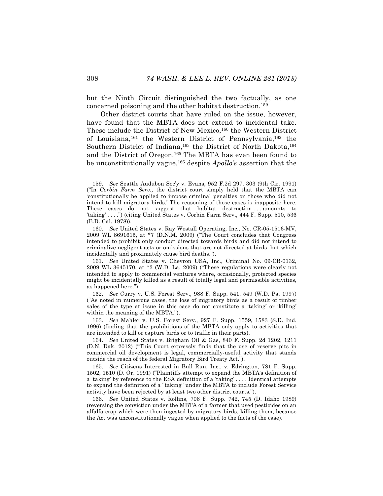but the Ninth Circuit distinguished the two factually, as one concerned poisoning and the other habitat destruction.159

Other district courts that have ruled on the issue, however, have found that the MBTA does not extend to incidental take. These include the District of New Mexico,<sup>160</sup> the Western District of Louisiana,161 the Western District of Pennsylvania,162 the Southern District of Indiana,<sup>163</sup> the District of North Dakota,<sup>164</sup> and the District of Oregon.165 The MBTA has even been found to be unconstitutionally vague,166 despite *Apollo's* assertion that the

161. *See* United States v. Chevron USA, Inc., Criminal No. 09-CR-0132, 2009 WL 3645170, at \*3 (W.D. La. 2009) ("These regulations were clearly not intended to apply to commercial ventures where, occasionally, protected species might be incidentally killed as a result of totally legal and permissible activities, as happened here.").

162. *See* Curry v. U.S. Forest Serv., 988 F. Supp. 541, 549 (W.D. Pa. 1997) ("As noted in numerous cases, the loss of migratory birds as a result of timber sales of the type at issue in this case do not constitute a 'taking' or 'killing' within the meaning of the MBTA.").

163. *See* Mahler v. U.S. Forest Serv., 927 F. Supp. 1559, 1583 (S.D. Ind. 1996) (finding that the prohibitions of the MBTA only apply to activities that are intended to kill or capture birds or to traffic in their parts).

164. *See* United States v. Brigham Oil & Gas, 840 F. Supp. 2d 1202, 1211 (D.N. Dak. 2012) ("This Court expressly finds that the use of reserve pits in commercial oil development is legal, commercially-useful activity that stands outside the reach of the federal Migratory Bird Treaty Act.").

165. *See* Citizens Interested in Bull Run, Inc., v. Edrington, 781 F. Supp. 1502, 1510 (D. Or. 1991) ("Plaintiffs attempt to expand the MBTA's definition of a 'taking' by reference to the ESA definition of a 'taking' . . . . Identical attempts to expand the definition of a "taking" under the MBTA to include Forest Service activity have been rejected by at least two other district courts.").

166. *See* United States v. Rollins, 706 F. Supp. 742, 745 (D. Idaho 1989) (reversing the conviction under the MBTA of a farmer that used pesticides on an alfalfa crop which were then ingested by migratory birds, killing them, because the Act was unconstitutionally vague when applied to the facts of the case).

 <sup>159.</sup> *See* Seattle Audubon Soc'y v. Evans, 952 F.2d 297, 303 (9th Cir. 1991) ("In *Corbin Farm Serv.,* the district court simply held that the MBTA can 'constitutionally be applied to impose criminal penalties on those who did not intend to kill migratory birds.' The reasoning of those cases is inapposite here. These cases do not suggest that habitat destruction ... amounts to 'taking' . . . .") (citing United States v. Corbin Farm Serv., 444 F. Supp. 510, 536 (E.D. Cal. 1978)).

<sup>160.</sup> *See* United States v. Ray Westall Operating, Inc., No. CR-05-1516-MV, 2009 WL 8691615, at \*7 (D.N.M. 2009) ("The Court concludes that Congress intended to prohibit only conduct directed towards birds and did not intend to criminalize negligent acts or omissions that are not directed at birds, but which incidentally and proximately cause bird deaths.").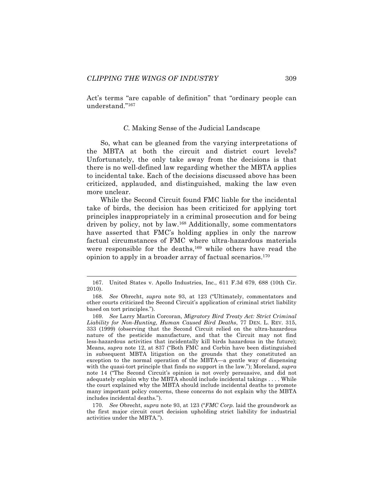Act's terms "are capable of definition" that "ordinary people can understand."167

## *C.* Making Sense of the Judicial Landscape

So, what can be gleaned from the varying interpretations of the MBTA at both the circuit and district court levels? Unfortunately, the only take away from the decisions is that there is no well-defined law regarding whether the MBTA applies to incidental take. Each of the decisions discussed above has been criticized, applauded, and distinguished, making the law even more unclear.

While the Second Circuit found FMC liable for the incidental take of birds, the decision has been criticized for applying tort principles inappropriately in a criminal prosecution and for being driven by policy, not by law.168 Additionally, some commentators have asserted that FMC's holding applies in only the narrow factual circumstances of FMC where ultra-hazardous materials were responsible for the deaths,<sup>169</sup> while others have read the opinion to apply in a broader array of factual scenarios.170

 <sup>167.</sup> United States v. Apollo Industries, Inc., 611 F.3d 679, 688 (10th Cir. 2010).

<sup>168.</sup> *See* Obrecht, *supra* note 93, at 123 ("Ultimately, commentators and other courts criticized the Second Circuit's application of criminal strict liability based on tort principles.").

<sup>169.</sup> *See* Larry Martin Corcoran, *Migratory Bird Treaty Act: Strict Criminal Liability for Non-Hunting, Human Caused Bird Deaths*, 77 DEN. L. REV. 315, 333 (1999) (observing that the Second Circuit relied on the ultra-hazardous nature of the pesticide manufacture, and that the Circuit may not find less-hazardous activities that incidentally kill birds hazardous in the future); Means, *supra* note 12, at 837 ("Both FMC and Corbin have been distinguished in subsequent MBTA litigation on the grounds that they constituted an exception to the normal operation of the MBTA—a gentle way of dispensing with the quasi-tort principle that finds no support in the law."); Moreland, *supra*  note 14 ("The Second Circuit's opinion is not overly persuasive, and did not adequately explain why the MBTA should include incidental takings . . . . While the court explained why the MBTA should include incidental deaths to promote many important policy concerns, these concerns do not explain why the MBTA includes incidental deaths.").

<sup>170.</sup> *See* Obrecht, *supra* note 93, at 123 ("*FMC Corp.* laid the groundwork as the first major circuit court decision upholding strict liability for industrial activities under the MBTA.").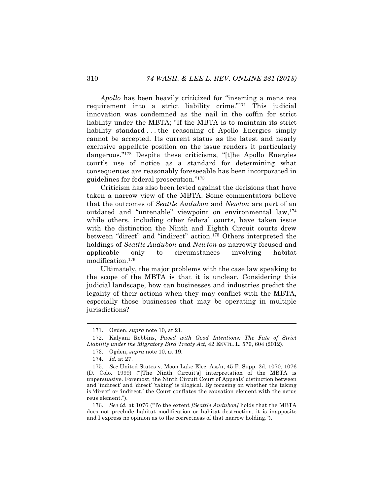*Apollo* has been heavily criticized for "inserting a mens rea requirement into a strict liability crime."171 This judicial innovation was condemned as the nail in the coffin for strict liability under the MBTA; "If the MBTA is to maintain its strict liability standard . . . the reasoning of Apollo Energies simply cannot be accepted. Its current status as the latest and nearly exclusive appellate position on the issue renders it particularly dangerous."172 Despite these criticisms, "[t]he Apollo Energies court's use of notice as a standard for determining what consequences are reasonably foreseeable has been incorporated in guidelines for federal prosecution."173

Criticism has also been levied against the decisions that have taken a narrow view of the MBTA. Some commentators believe that the outcomes of *Seattle Audubon* and *Newton* are part of an outdated and "untenable" viewpoint on environmental law,<sup>174</sup> while others, including other federal courts, have taken issue with the distinction the Ninth and Eighth Circuit courts drew between "direct" and "indirect" action.175 Others interpreted the holdings of *Seattle Audubon* and *Newton* as narrowly focused and applicable only to circumstances involving habitat modification.176

Ultimately, the major problems with the case law speaking to the scope of the MBTA is that it is unclear. Considering this judicial landscape, how can businesses and industries predict the legality of their actions when they may conflict with the MBTA, especially those businesses that may be operating in multiple jurisdictions?

176. *See id.* at 1076 ("To the extent *[Seattle Audubon]* holds that the MBTA does not preclude habitat modification or habitat destruction, it is inapposite and I express no opinion as to the correctness of that narrow holding.").

 <sup>171.</sup> Ogden, *supra* note 10, at 21.

<sup>172.</sup> Kalyani Robbins, *Paved with Good Intentions: The Fate of Strict Liability under the Migratory Bird Treaty Act*, 42 ENVTL. L. 579, 604 (2012).

<sup>173.</sup> Ogden, *supra* note 10, at 19.

<sup>174.</sup> *Id.* at 27.

<sup>175.</sup> *See* United States v. Moon Lake Elec. Ass'n, 45 F. Supp. 2d. 1070, 1076 (D. Colo. 1999) ("[The Ninth Circuit's] interpretation of the MBTA is unpersuasive. Foremost, the Ninth Circuit Court of Appeals' distinction between and 'indirect' and 'direct' 'taking' is illogical. By focusing on whether the taking is 'direct' or 'indirect,' the Court conflates the causation element with the actus reus element.").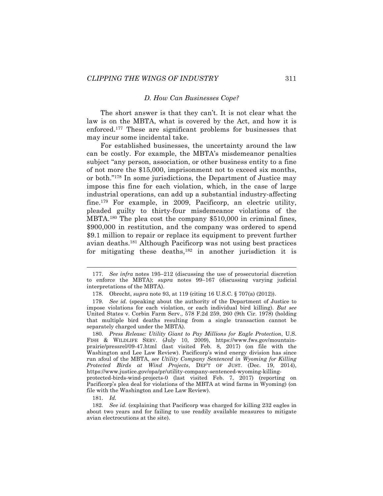#### *D. How Can Businesses Cope?*

The short answer is that they can't. It is not clear what the law is on the MBTA, what is covered by the Act, and how it is enforced.177 These are significant problems for businesses that may incur some incidental take.

For established businesses, the uncertainty around the law can be costly. For example, the MBTA's misdemeanor penalties subject "any person, association, or other business entity to a fine of not more the \$15,000, imprisonment not to exceed six months, or both."178 In some jurisdictions, the Department of Justice may impose this fine for each violation, which, in the case of large industrial operations, can add up a substantial industry-affecting fine.179 For example, in 2009, Pacificorp, an electric utility, pleaded guilty to thirty-four misdemeanor violations of the MBTA.180 The plea cost the company \$510,000 in criminal fines, \$900,000 in restitution, and the company was ordered to spend \$9.1 million to repair or replace its equipment to prevent further avian deaths.181 Although Pacificorp was not using best practices for mitigating these deaths,  $182$  in another jurisdiction it is

 <sup>177.</sup> *See infra* notes 195–212 (discussing the use of prosecutorial discretion to enforce the MBTA); *supra* notes 99–167 (discussing varying judicial interpretations of the MBTA).

<sup>178.</sup> Obrecht, *supra* note 93, at 119 (citing 16 U.S.C. § 707(a) (2012)).

<sup>179.</sup> *See id.* (speaking about the authority of the Department of Justice to impose violations for each violation, or each individual bird killing). *But see* United States v. Corbin Farm Serv., 578 F.2d 259, 260 (9th Cir. 1978) (holding that multiple bird deaths resulting from a single transaction cannot be separately charged under the MBTA).

<sup>180.</sup> *Press Release: Utility Giant to Pay Millions for Eagle Protection*, U.S. FISH & WILDLIFE SERV. (July 10, 2009), https://www.fws.gov/mountainprairie/pressrel/09-47.html (last visited Feb. 8, 2017) (on file with the Washington and Lee Law Review). Pacificorp's wind energy division has since run afoul of the MBTA, *see Utility Company Sentenced in Wyoming for Killing Protected Birds at Wind Projects*, DEP'T OF JUST. (Dec. 19, 2014), https://www.justice.gov/opa/pr/utility-company-sentenced-wyoming-killingprotected-birds-wind-projects-0 (last visited Feb. 7, 2017) (reporting on Pacificorp's plea deal for violations of the MBTA at wind farms in Wyoming) (on file with the Washington and Lee Law Review).

<sup>181.</sup> *Id.*

<sup>182.</sup> *See id.* (explaining that Pacificorp was charged for killing 232 eagles in about two years and for failing to use readily available measures to mitigate avian electrocutions at the site).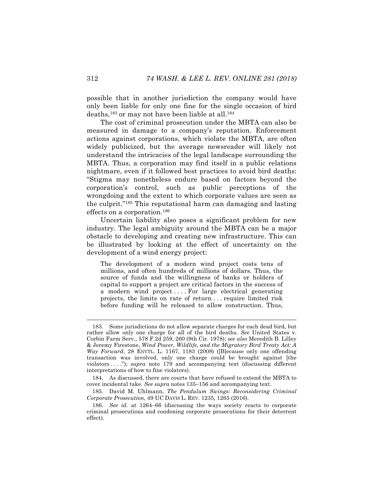possible that in another jurisdiction the company would have only been liable for only one fine for the single occasion of bird deaths,183 or may not have been liable at all.184

The cost of criminal prosecution under the MBTA can also be measured in damage to a company's reputation. Enforcement actions against corporations, which violate the MBTA, are often widely publicized, but the average newsreader will likely not understand the intricacies of the legal landscape surrounding the MBTA. Thus, a corporation may find itself in a public relations nightmare, even if it followed best practices to avoid bird deaths: "Stigma may nonetheless endure based on factors beyond the corporation's control, such as public perceptions of the wrongdoing and the extent to which corporate values are seen as the culprit."185 This reputational harm can damaging and lasting effects on a corporation.186

Uncertain liability also poses a significant problem for new industry. The legal ambiguity around the MBTA can be a major obstacle to developing and creating new infrastructure. This can be illustrated by looking at the effect of uncertainty on the development of a wind energy project:

The development of a modern wind project costs tens of millions, and often hundreds of millions of dollars. Thus, the source of funds and the willingness of banks or holders of capital to support a project are critical factors in the success of a modern wind project.... For large electrical generating projects, the limits on rate of return . . . require limited risk before funding will be released to allow construction. Thus,

 <sup>183.</sup> Some jurisdictions do not allow separate charges for each dead bird, but rather allow only one charge for all of the bird deaths. *See* United States v. Corbin Farm Serv., 578 F.2d 259, 260 (9th Cir. 1978); *see also* Meredith B. Lilley & Jeremy Firestone, *Wind Power, Wildlife, and the Migratory Bird Treaty Act: A Way Forward*, 28 ENVTL. L. 1167, 1183 (2008) ([B]ecause only one offending transaction was involved, only one charge could be brought against [the violators . . . ."); *supra* note 179 and accompanying text (discussing different interpretations of how to fine violators).

<sup>184.</sup> As discussed, there are courts that have refused to extend the MBTA to cover incidental take. *See supra* notes 135–156 and accompanying text.

<sup>185.</sup> David M. Uhlmann, *The Pendulum Swings: Reconsidering Criminal Corporate Prosecution*, 49 UC DAVIS L. REV. 1235, 1265 (2016).

<sup>186.</sup> *See id.* at 1264–66 (discussing the ways society reacts to corporate criminal prosecutions and condoning corporate prosecutions for their deterrent effect).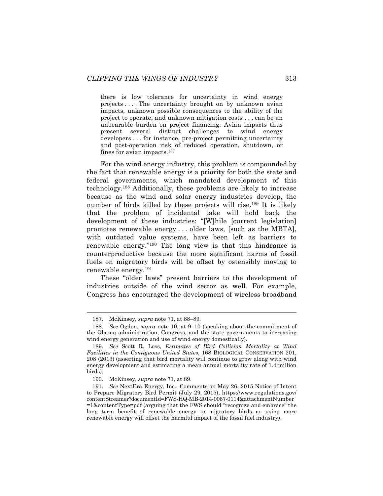there is low tolerance for uncertainty in wind energy projects . . . . The uncertainty brought on by unknown avian impacts, unknown possible consequences to the ability of the project to operate, and unknown mitigation costs . . . can be an unbearable burden on project financing. Avian impacts thus present several distinct challenges to wind energy developers . . . for instance, pre-project permitting uncertainty and post-operation risk of reduced operation, shutdown, or fines for avian impacts.187

For the wind energy industry, this problem is compounded by the fact that renewable energy is a priority for both the state and federal governments, which mandated development of this technology.188 Additionally, these problems are likely to increase because as the wind and solar energy industries develop, the number of birds killed by these projects will rise.<sup>189</sup> It is likely that the problem of incidental take will hold back the development of these industries: "[W]hile [current legislation] promotes renewable energy . . . older laws, [such as the MBTA], with outdated value systems, have been left as barriers to renewable energy."190 The long view is that this hindrance is counterproductive because the more significant harms of fossil fuels on migratory birds will be offset by ostensibly moving to renewable energy. 191

These "older laws" present barriers to the development of industries outside of the wind sector as well. For example, Congress has encouraged the development of wireless broadband

 <sup>187.</sup> McKinsey, *supra* note 71, at 88–89.

<sup>188.</sup> *See* Ogden, *supra* note 10, at 9–10 (speaking about the commitment of the Obama administration, Congress, and the state governments to increasing wind energy generation and use of wind energy domestically).

<sup>189.</sup> *See* Scott R. Loss, *Estimates of Bird Collision Mortality at Wind Facilities in the Contiguous United States*, 168 BIOLOGICAL CONSERVATION 201, 208 (2013) (asserting that bird mortality will continue to grow along with wind energy development and estimating a mean annual mortality rate of 1.4 million birds).

<sup>190.</sup> McKinsey, *supra* note 71, at 89.

<sup>191.</sup> *See* NextEra Energy, Inc., Comments on May 26, 2015 Notice of Intent to Prepare Migratory Bird Permit (July 29, 2015), https://www.regulations.gov/ contentStreamer?documentId=FWS-HQ-MB-2014-0067-0114&attachmentNumber =1&contentType=pdf (arguing that the FWS should "recognize and embrace" the long term benefit of renewable energy to migratory birds as using more renewable energy will offset the harmful impact of the fossil fuel industry).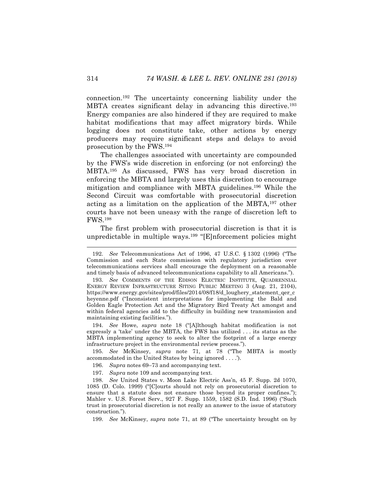connection. <sup>192</sup> The uncertainty concerning liability under the MBTA creates significant delay in advancing this directive.<sup>193</sup> Energy companies are also hindered if they are required to make habitat modifications that may affect migratory birds. While logging does not constitute take, other actions by energy producers may require significant steps and delays to avoid prosecution by the FWS.194

The challenges associated with uncertainty are compounded by the FWS's wide discretion in enforcing (or not enforcing) the MBTA.195 As discussed, FWS has very broad discretion in enforcing the MBTA and largely uses this discretion to encourage mitigation and compliance with MBTA guidelines.196 While the Second Circuit was comfortable with prosecutorial discretion acting as a limitation on the application of the MBTA,197 other courts have not been uneasy with the range of discretion left to FWS.198

The first problem with prosecutorial discretion is that it is unpredictable in multiple ways.<sup>199</sup> "[E]nforcement policies might

194. *See* Howe, *supra* note 18 ("[A]lthough habitat modification is not expressly a 'take' under the MBTA, the FWS has utilized . . . its status as the MBTA implementing agency to seek to alter the footprint of a large energy infrastructure project in the environmental review process.").

195. *See* McKinsey, *supra* note 71, at 78 ("The MBTA is mostly accommodated in the United States by being ignored . . . .').

196. *Supra* notes 69–73 and accompanying text.

197. *Supra* note 109 and accompanying text.

198. *See* United States v. Moon Lake Electric Ass'n, 45 F. Supp. 2d 1070, 1085 (D. Colo. 1999) ("[C]ourts should not rely on prosecutorial discretion to ensure that a statute does not ensnare those beyond its proper confines."); Mahler v. U.S. Forest Serv., 927 F. Supp. 1559, 1582 (S.D. Ind. 1996) ("Such trust in prosecutorial discretion is not really an answer to the issue of statutory construction.").

199. *See* McKinsey, *supra* note 71, at 89 ("The uncertainty brought on by

 <sup>192.</sup> *See* Telecommunications Act of 1996, 47 U.S.C. § 1302 (1996) ("The Commission and each State commission with regulatory jurisdiction over telecommunications services shall encourage the deployment on a reasonable and timely basis of advanced telecommunications capability to all Americans.").

<sup>193.</sup> *See* COMMENTS OF THE EDISON ELECTRIC INSTITUTE, QUADRENNIAL ENERGY REVIEW INFRASTRUCTURE SITING PUBLIC MEETING 3 (Aug. 21, 2104), https://www.energy.gov/sites/prod/files/2014/08/f18/d\_loughery\_statement\_qer\_c heyenne.pdf ("Inconsistent interpretations for implementing the Bald and Golden Eagle Protection Act and the Migratory Bird Treaty Act amongst and within federal agencies add to the difficulty in building new transmission and maintaining existing facilities.").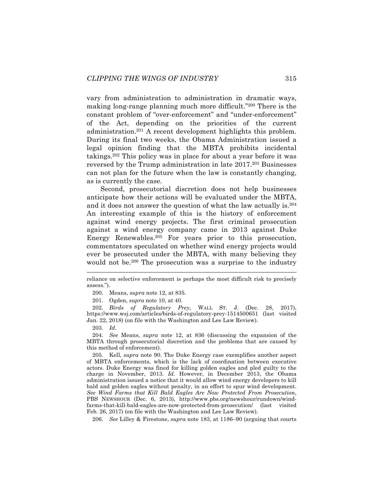vary from administration to administration in dramatic ways, making long-range planning much more difficult."200 There is the constant problem of "over-enforcement" and "under-enforcement" of the Act, depending on the priorities of the current administration.201 A recent development highlights this problem. During its final two weeks, the Obama Administration issued a legal opinion finding that the MBTA prohibits incidental takings.202 This policy was in place for about a year before it was reversed by the Trump administration in late 2017.<sup>203</sup> Businesses can not plan for the future when the law is constantly changing, as is currently the case.

Second, prosecutorial discretion does not help businesses anticipate how their actions will be evaluated under the MBTA, and it does not answer the question of what the law actually is.204 An interesting example of this is the history of enforcement against wind energy projects. The first criminal prosecution against a wind energy company came in 2013 against Duke Energy Renewables.205 For years prior to this prosecution, commentators speculated on whether wind energy projects would ever be prosecuted under the MBTA, with many believing they would not be.<sup>206</sup> The prosecution was a surprise to the industry

200. Means, *supra* note 12, at 835.

201. Ogden, *supra* note 10, at 40.

202. *Birds of Regulatory Prey*, WALL ST. J. (Dec. 28, 2017), https://www.wsj.com/articles/birds-of-regulatory-prey-1514500651 (last visited Jan. 22, 2018) (on file with the Washington and Lee Law Review).

203. *Id.*

204. *See* Means, *supra* note 12, at 836 (discussing the expansion of the MBTA through prosecutorial discretion and the problems that are caused by this method of enforcement).

205. Kell, *supra* note 90. The Duke Energy case exemplifies another aspect of MBTA enforcements, which is the lack of coordination between executive actors. Duke Energy was fined for killing golden eagles and pled guilty to the charge in November, 2013. *Id.* However, in December 2013, the Obama administration issued a notice that it would allow wind energy developers to kill bald and golden eagles without penalty, in an effort to spur wind development. *See Wind Farms that Kill Bald Eagles Are Now Protected From Prosecution*, PBS NEWSHOUR (Dec. 6, 2013), http://www.pbs.org/newshour/rundown/windfarms-that-kill-bald-eagles-are-now-protected-from-prosecution/ (last visited Feb. 26, 2017) (on file with the Washington and Lee Law Review).

206. *See* Lilley & Firestone, *supra* note 183, at 1186–90 (arguing that courts

reliance on selective enforcement is perhaps the most difficult risk to precisely assess.").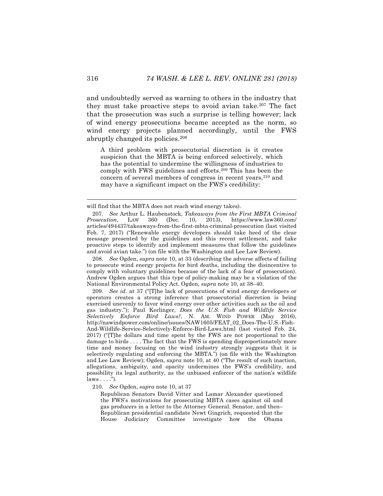and undoubtedly served as warning to others in the industry that they must take proactive steps to avoid avian take.207 The fact that the prosecution was such a surprise is telling however; lack of wind energy prosecutions became accepted as the norm, so wind energy projects planned accordingly, until the FWS abruptly changed its policies.208

A third problem with prosecutorial discretion is it creates suspicion that the MBTA is being enforced selectively, which has the potential to undermine the willingness of industries to comply with FWS guidelines and efforts.209 This has been the concern of several members of congress in recent years, 210 and may have a significant impact on the FWS's credibility:

208. *See* Ogden, *supra* note 10, at 33 (describing the adverse affects of failing to prosecute wind energy projects for bird deaths, including the disincentive to comply with voluntary guidelines because of the lack of a fear of prosecution). Andrew Ogden argues that this type of policy-making may be a violation of the National Environmental Policy Act. Ogden, *supra* note 10, at 38–40.

209. *See id.* at 37 ("[T]he lack of prosecutions of wind energy developers or operators creates a strong inference that prosecutorial discretion is being exercised unevenly to favor wind energy over other activities such as the oil and gas industry."); Paul Kerlinger, *Does the U.S. Fish and Wildlife Service Selectively Enforce Bird Laws?*, N. AM. WIND POWER (May 2016), http://nawindpower.com/online/issues/NAW1605/FEAT\_02\_Does-The-U.S.-Fish-And-Wildlife-Service-Selectively-Enforce-Bird-Laws.html (last visited Feb. 24, 2017) ("[T]he dollars and time spent by the FWS are not proportional to the damage to birds . . . . The fact that the FWS is spending disproportionately more time and money focusing on the wind industry strongly suggests that it is selectively regulating and enforcing the MBTA.") (on file with the Washington and Lee Law Review); Ogden, *supra* note 10, at 40 ("The result of such inaction, allegations, ambiguity, and opacity undermines the FWS's credibility, and possibility its legal authority, as the unbiased enforcer of the nation's wildlife  $laws \ldots$ ").

210. *See* Ogden, *supra* note 10, at 37

Republican Senators David Vitter and Lamar Alexander questioned the FWS's motivations for prosecuting MBTA cases against oil and gas producers in a letter to the Attorney General. Senator, and then– Republican presidential candidate Newt Gingrich, requested that the House Judiciary Committee investigate how the Obama

will find that the MBTA does not reach wind energy takes).

<sup>207.</sup> *See* Arthur L. Haubenstock, *Takeaways from the First MBTA Criminal Prosecution*, LAW 360 (Dec. 10, 2013), https://www.law360.com/ articles/494437/takeaways-from-the-first-mbta-criminal-prosecution (last visited Feb. 7, 2017) ("Renewable energy developers should take heed of the clear message presented by the guidelines and this recent settlement, and take proactive steps to identify and implement measures that follow the guidelines and avoid avian take.") (on file with the Washington and Lee Law Review).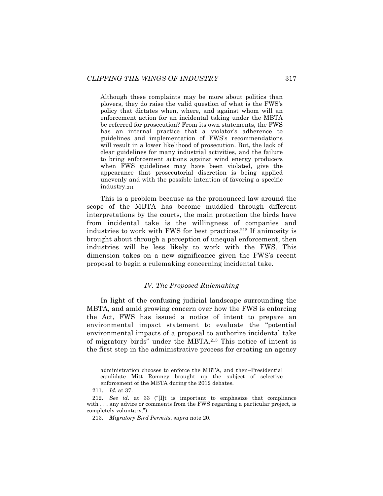Although these complaints may be more about politics than plovers, they do raise the valid question of what is the FWS's policy that dictates when, where, and against whom will an enforcement action for an incidental taking under the MBTA be referred for prosecution? From its own statements, the FWS has an internal practice that a violator's adherence to guidelines and implementation of FWS's recommendations will result in a lower likelihood of prosecution. But, the lack of clear guidelines for many industrial activities, and the failure to bring enforcement actions against wind energy producers when FWS guidelines may have been violated, give the appearance that prosecutorial discretion is being applied unevenly and with the possible intention of favoring a specific industry.211

This is a problem because as the pronounced law around the scope of the MBTA has become muddled through different interpretations by the courts, the main protection the birds have from incidental take is the willingness of companies and industries to work with FWS for best practices.212 If animosity is brought about through a perception of unequal enforcement, then industries will be less likely to work with the FWS. This dimension takes on a new significance given the FWS's recent proposal to begin a rulemaking concerning incidental take.

## *IV. The Proposed Rulemaking*

In light of the confusing judicial landscape surrounding the MBTA, and amid growing concern over how the FWS is enforcing the Act, FWS has issued a notice of intent to prepare an environmental impact statement to evaluate the "potential environmental impacts of a proposal to authorize incidental take of migratory birds" under the MBTA.213 This notice of intent is the first step in the administrative process for creating an agency

administration chooses to enforce the MBTA, and then–Presidential candidate Mitt Romney brought up the subject of selective enforcement of the MBTA during the 2012 debates.

<sup>211.</sup> *Id.* at 37.

<sup>212.</sup> *See id*. at 33 ("[I]t is important to emphasize that compliance with ... any advice or comments from the FWS regarding a particular project, is completely voluntary.").

<sup>213.</sup> *Migratory Bird Permits*, *supra* note 20.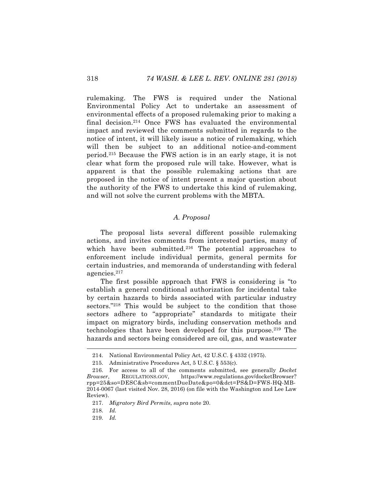rulemaking. The FWS is required under the National Environmental Policy Act to undertake an assessment of environmental effects of a proposed rulemaking prior to making a final decision.214 Once FWS has evaluated the environmental impact and reviewed the comments submitted in regards to the notice of intent, it will likely issue a notice of rulemaking, which will then be subject to an additional notice-and-comment period.215 Because the FWS action is in an early stage, it is not clear what form the proposed rule will take. However, what is apparent is that the possible rulemaking actions that are proposed in the notice of intent present a major question about the authority of the FWS to undertake this kind of rulemaking, and will not solve the current problems with the MBTA.

# *A. Proposal*

The proposal lists several different possible rulemaking actions, and invites comments from interested parties, many of which have been submitted.<sup>216</sup> The potential approaches to enforcement include individual permits, general permits for certain industries, and memoranda of understanding with federal agencies.217

The first possible approach that FWS is considering is "to establish a general conditional authorization for incidental take by certain hazards to birds associated with particular industry sectors."<sup>218</sup> This would be subject to the condition that those sectors adhere to "appropriate" standards to mitigate their impact on migratory birds, including conservation methods and technologies that have been developed for this purpose.219 The hazards and sectors being considered are oil, gas, and wastewater

218. *Id.*

 <sup>214.</sup> National Environmental Policy Act, 42 U.S.C. § 4332 (1975).

<sup>215.</sup> Administrative Procedures Act, 5 U.S.C. § 553(c).

<sup>216.</sup> For access to all of the comments submitted, see generally *Docket Browser*, REGULATIONS.GOV, https://www.regulations.gov/docketBrowser? rpp=25&so=DESC&sb=commentDueDate&po=0&dct=PS&D=FWS-HQ-MB-2014-0067 (last visited Nov. 28, 2016) (on file with the Washington and Lee Law Review).

<sup>217.</sup> *Migratory Bird Permits*, *supra* note 20.

<sup>219.</sup> *Id.*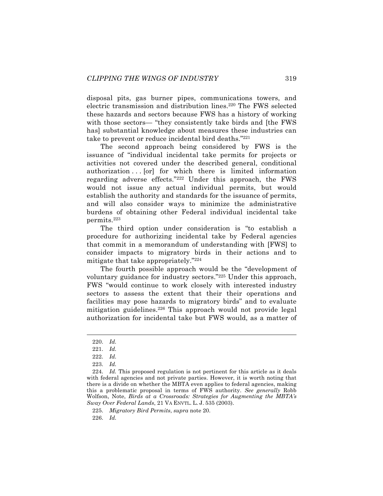disposal pits, gas burner pipes, communications towers, and electric transmission and distribution lines.220 The FWS selected these hazards and sectors because FWS has a history of working with those sectors— "they consistently take birds and [the FWS has] substantial knowledge about measures these industries can take to prevent or reduce incidental bird deaths."221

The second approach being considered by FWS is the issuance of "individual incidental take permits for projects or activities not covered under the described general, conditional authorization . . . [or] for which there is limited information regarding adverse effects."222 Under this approach, the FWS would not issue any actual individual permits, but would establish the authority and standards for the issuance of permits, and will also consider ways to minimize the administrative burdens of obtaining other Federal individual incidental take permits.223

The third option under consideration is "to establish a procedure for authorizing incidental take by Federal agencies that commit in a memorandum of understanding with [FWS] to consider impacts to migratory birds in their actions and to mitigate that take appropriately."224

The fourth possible approach would be the "development of voluntary guidance for industry sectors."225 Under this approach, FWS "would continue to work closely with interested industry sectors to assess the extent that their their operations and facilities may pose hazards to migratory birds" and to evaluate mitigation guidelines.<sup>226</sup> This approach would not provide legal authorization for incidental take but FWS would, as a matter of

226. *Id.*

 <sup>220.</sup> *Id.*

<sup>221.</sup> *Id.*

<sup>222.</sup> *Id.*

<sup>223.</sup> *Id.*

<sup>224.</sup> *Id.* This proposed regulation is not pertinent for this article as it deals with federal agencies and not private parties. However, it is worth noting that there is a divide on whether the MBTA even applies to federal agencies, making this a problematic proposal in terms of FWS authority. *See generally* Robb Wolfson, Note, *Birds at a Crossroads: Strategies for Augmenting the MBTA's Sway Over Federal Lands*, 21 VA ENVTL. L. J. 535 (2003).

<sup>225.</sup> *Migratory Bird Permits*, *supra* note 20.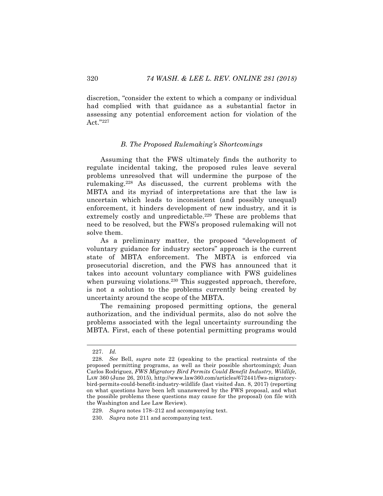discretion, "consider the extent to which a company or individual had complied with that guidance as a substantial factor in assessing any potential enforcement action for violation of the Act."227

#### *B. The Proposed Rulemaking's Shortcomings*

Assuming that the FWS ultimately finds the authority to regulate incidental taking, the proposed rules leave several problems unresolved that will undermine the purpose of the rulemaking.228 As discussed, the current problems with the MBTA and its myriad of interpretations are that the law is uncertain which leads to inconsistent (and possibly unequal) enforcement, it hinders development of new industry, and it is extremely costly and unpredictable.<sup>229</sup> These are problems that need to be resolved, but the FWS's proposed rulemaking will not solve them.

As a preliminary matter, the proposed "development of voluntary guidance for industry sectors" approach is the current state of MBTA enforcement. The MBTA is enforced via prosecutorial discretion, and the FWS has announced that it takes into account voluntary compliance with FWS guidelines when pursuing violations.<sup>230</sup> This suggested approach, therefore, is not a solution to the problems currently being created by uncertainty around the scope of the MBTA.

The remaining proposed permitting options, the general authorization, and the individual permits, also do not solve the problems associated with the legal uncertainty surrounding the MBTA. First, each of these potential permitting programs would

 <sup>227.</sup> *Id.*

<sup>228.</sup> *See* Bell, *supra* note 22 (speaking to the practical restraints of the proposed permitting programs, as well as their possible shortcomings); Juan Carlos Rodriguez, *FWS Migratory Bird Permits Could Benefit Industry, Wildlife,* LAW 360 (June 26, 2015), http://www.law360.com/articles/672441/fws-migratorybird-permits-could-benefit-industry-wildlife (last visited Jan. 8, 2017) (reporting on what questions have been left unanswered by the FWS proposal, and what the possible problems these questions may cause for the proposal) (on file with the Washington and Lee Law Review).

<sup>229.</sup> *Supra* notes 178–212 and accompanying text.

<sup>230.</sup> *Supra* note 211 and accompanying text.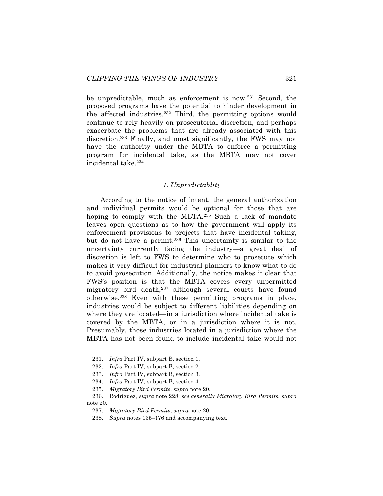be unpredictable, much as enforcement is now.<sup>231</sup> Second, the proposed programs have the potential to hinder development in the affected industries.232 Third, the permitting options would continue to rely heavily on prosecutorial discretion, and perhaps exacerbate the problems that are already associated with this discretion.233 Finally, and most significantly, the FWS may not have the authority under the MBTA to enforce a permitting program for incidental take, as the MBTA may not cover incidental take.234

#### *1. Unpredictablity*

According to the notice of intent, the general authorization and individual permits would be optional for those that are hoping to comply with the MBTA.<sup>235</sup> Such a lack of mandate leaves open questions as to how the government will apply its enforcement provisions to projects that have incidental taking, but do not have a permit.<sup>236</sup> This uncertainty is similar to the uncertainty currently facing the industry—a great deal of discretion is left to FWS to determine who to prosecute which makes it very difficult for industrial planners to know what to do to avoid prosecution. Additionally, the notice makes it clear that FWS's position is that the MBTA covers every unpermitted migratory bird death,<sup>237</sup> although several courts have found otherwise.238 Even with these permitting programs in place, industries would be subject to different liabilities depending on where they are located—in a jurisdiction where incidental take is covered by the MBTA, or in a jurisdiction where it is not. Presumably, those industries located in a jurisdiction where the MBTA has not been found to include incidental take would not

 <sup>231.</sup> *Infra* Part IV, subpart B, section 1.

<sup>232.</sup> *Infra* Part IV, subpart B, section 2.

<sup>233.</sup> *Infra* Part IV, subpart B, section 3.

<sup>234.</sup> *Infra* Part IV, subpart B, section 4.

<sup>235.</sup> *Migratory Bird Permits*, *supra* note 20.

<sup>236.</sup> Rodriguez, *supra* note 228; *see generally Migratory Bird Permits*, *supra*  note 20.

<sup>237.</sup> *Migratory Bird Permits*, *supra* note 20.

<sup>238.</sup> *Supra* notes 135–176 and accompanying text.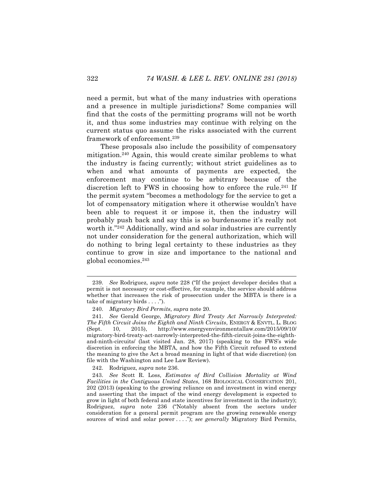need a permit, but what of the many industries with operations and a presence in multiple jurisdictions? Some companies will find that the costs of the permitting programs will not be worth it, and thus some industries may continue with relying on the current status quo assume the risks associated with the current framework of enforcement.239

These proposals also include the possibility of compensatory mitigation.240 Again, this would create similar problems to what the industry is facing currently; without strict guidelines as to when and what amounts of payments are expected, the enforcement may continue to be arbitrary because of the discretion left to FWS in choosing how to enforce the rule.<sup>241</sup> If the permit system "becomes a methodology for the service to get a lot of compensatory mitigation where it otherwise wouldn't have been able to request it or impose it, then the industry will probably push back and say this is so burdensome it's really not worth it."242 Additionally, wind and solar industries are currently not under consideration for the general authorization, which will do nothing to bring legal certainty to these industries as they continue to grow in size and importance to the national and global economies.243

242. Rodriguez, *supra* note 236.

 <sup>239.</sup> *See* Rodriguez, *supra* note 228 ("If the project developer decides that a permit is not necessary or cost-effective, for example, the service should address whether that increases the risk of prosecution under the MBTA is there is a take of migratory birds . . . .").

<sup>240.</sup> *Migratory Bird Permits*, *supra* note 20.

<sup>241.</sup> *See* Gerald George, *Migratory Bird Treaty Act Narrowly Interpreted: The Fifth Circuit Joins the Eighth and Ninth Circuits*, ENERGY & ENVTL. L. BLOG (Sept. 10, 2015), http://www.energyenvironmentallaw.com/2015/09/10/ (Sept. 10, 2015), http://www.energyenvironmentallaw.com/2015/09/10/ migratory-bird-treaty-act-narrowly-interpreted-the-fifth-circuit-joins-the-eighthand-ninth-circuits/ (last visited Jan. 28, 2017) (speaking to the FWS's wide discretion in enforcing the MBTA, and how the Fifth Circuit refused to extend the meaning to give the Act a broad meaning in light of that wide discretion) (on file with the Washington and Lee Law Review).

<sup>243.</sup> *See* Scott R. Loss, *Estimates of Bird Collision Mortality at Wind Facilities in the Contiguous United States*, 168 BIOLOGICAL CONSERVATION 201, 202 (2013) (speaking to the growing reliance on and investment in wind energy and asserting that the impact of the wind energy development is expected to grow in light of both federal and state incentives for investment in the industry); Rodriguez, *supra* note 236 ("Notably absent from the sectors under consideration for a general permit program are the growing renewable energy sources of wind and solar power . . . ."); *see generally* Migratory Bird Permits,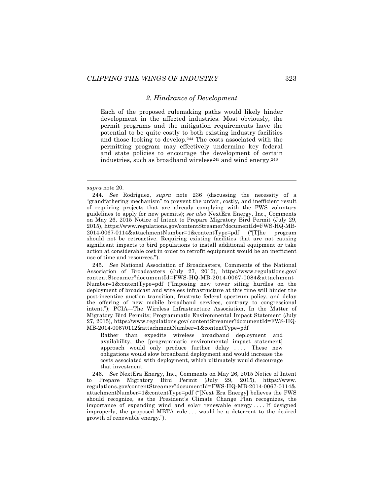#### *2. Hindrance of Development*

Each of the proposed rulemaking paths would likely hinder development in the affected industries. Most obviously, the permit programs and the mitigation requirements have the potential to be quite costly to both existing industry facilities and those looking to develop.244 The costs associated with the permitting program may effectively undermine key federal and state policies to encourage the development of certain industries, such as broadband wireless $245$  and wind energy. $246$ 

1

245. *See* National Association of Broadcasters, Comments of the National Association of Broadcasters (July 27, 2015), https://www.regulations.gov/ contentStreamer?documentId=FWS-HQ-MB-2014-0067-0084&attachment Number=1&contentType=pdf ("Imposing new tower siting hurdles on the deployment of broadcast and wireless infrastructure at this time will hinder the post-incentive auction transition, frustrate federal spectrum policy, and delay the offering of new mobile broadband services, contrary to congressional intent."); PCIA—The Wireless Infrastructure Association, In the Matter of Migratory Bird Permits; Programmatic Environmental Impact Statement (July 27, 2015), https://www.regulations.gov/ contentStreamer?documentId=FWS-HQ-MB-2014-00670112&attachmentNumber=1&contentType=pdf

Rather than expedite wireless broadband deployment and availability, the [programmatic environmental impact statement] approach would only produce further delay .... These new obligations would slow broadband deployment and would increase the costs associated with deployment, which ultimately would discourage that investment.

246. *See* NextEra Energy, Inc., Comments on May 26, 2015 Notice of Intent to Prepare Migratory Bird Permit (July 29, 2015), https://www. regulations.gov/contentStreamer?documentId=FWS-HQ-MB-2014-0067-0114& attachmentNumber=1&contentType=pdf ("[Next Era Energy] believes the FWS should recognize, as the President's Climate Change Plan recognizes, the importance of expanding wind and solar renewable energy . . . . If designed improperly, the proposed MBTA rule . . . would be a deterrent to the desired growth of renewable energy.").

*supra* note 20.

<sup>244.</sup> *See* Rodriguez, *supra* note 236 (discussing the necessity of a "grandfathering mechanism" to prevent the unfair, costly, and inefficient result of requiring projects that are already complying with the FWS voluntary guidelines to apply for new permits); *see also* NextEra Energy, Inc., Comments on May 26, 2015 Notice of Intent to Prepare Migratory Bird Permit (July 29, 2015), https://www.regulations.gov/contentStreamer?documentId=FWS-HQ-MB-2014-0067-0114&attachmentNumber=1&contentType=pdf ("[T]he program should not be retroactive. Requiring existing facilities that are not causing significant impacts to bird populations to install additional equipment or take action at considerable cost in order to retrofit equipment would be an inefficient use of time and resources.").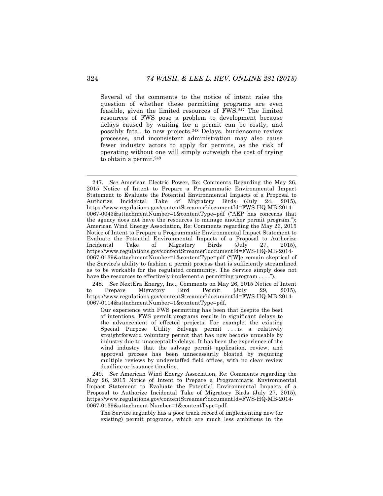Several of the comments to the notice of intent raise the question of whether these permitting programs are even feasible, given the limited resources of FWS.247 The limited resources of FWS pose a problem to development because delays caused by waiting for a permit can be costly, and possibly fatal, to new projects.248 Delays, burdensome review processes, and inconsistent administration may also cause fewer industry actors to apply for permits, as the risk of operating without one will simply outweigh the cost of trying to obtain a permit.249

248. *See* NextEra Energy, Inc., Comments on May 26, 2015 Notice of Intent to Prepare Migratory Bird Permit (July 29, 2015), https://www.regulations.gov/contentStreamer?documentId=FWS-HQ-MB-2014- 0067-0114&attachmentNumber=1&contentType=pdf.

Our experience with FWS permitting has been that despite the best of intentions, FWS permit programs results in significant delays to the advancement of effected projects. For example, the existing Special Purpose Utility Salvage permit . . . is a relatively straightforward voluntary permit that has now become unusable by industry due to unacceptable delays. It has been the experience of the wind industry that the salvage permit application, review, and approval process has been unnecessarily bloated by requiring multiple reviews by understaffed field offices, with no clear review deadline or issuance timeline.

249. *See* American Wind Energy Association, Re: Comments regarding the May 26, 2015 Notice of Intent to Prepare a Programmatic Environmental Impact Statement to Evaluate the Potential Environmental Impacts of a Proposal to Authorize Incidental Take of Migratory Birds (July 27, 2015), https://www.regulations.gov/contentStreamer?documentId=FWS-HQ-MB-2014- 0067-0139&attachment Number=1&contentType=pdf.

The Service arguably has a poor track record of implementing new (or existing) permit programs, which are much less ambitious in the

 <sup>247.</sup> *See* American Electric Power, Re: Comments Regarding the May 26, 2015 Notice of Intent to Prepare a Programmatic Environmental Impact Statement to Evaluate the Potential Environmental Impacts of a Proposal to Authorize Incidental Take of Migratory Birds (July 24, 2015), https://www.regulations.gov/contentStreamer?documentId=FWS-HQ-MB-2014- 0067-0043&attachmentNumber=1&contentType=pdf ("AEP has concerns that the agency does not have the resources to manage another permit program."); American Wind Energy Association, Re: Comments regarding the May 26, 2015 Notice of Intent to Prepare a Programmatic Environmental Impact Statement to Evaluate the Potential Environmental Impacts of a Proposal to Authorize Incidental Take of Migratory Birds (July 27, 2015), https://www.regulations.gov/contentStreamer?documentId=FWS-HQ-MB-2014- 0067-0139&attachmentNumber=1&contentType=pdf ("[W]e remain skeptical of the Service's ability to fashion a permit process that is sufficiently streamlined as to be workable for the regulated community. The Service simply does not have the resources to effectively implement a permitting program . . . .").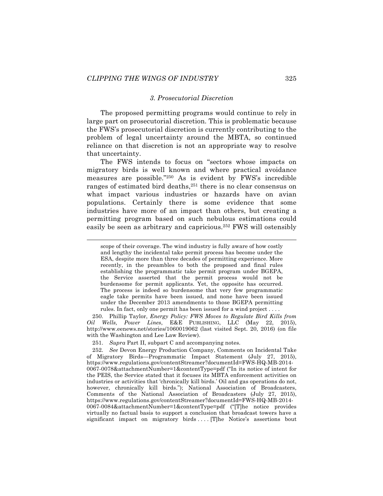#### *3. Prosecutorial Discretion*

The proposed permitting programs would continue to rely in large part on prosecutorial discretion. This is problematic because the FWS's prosecutorial discretion is currently contributing to the problem of legal uncertainty around the MBTA, so continued reliance on that discretion is not an appropriate way to resolve that uncertainty.

The FWS intends to focus on "sectors whose impacts on migratory birds is well known and where practical avoidance measures are possible."250 As is evident by FWS's incredible ranges of estimated bird deaths,<sup>251</sup> there is no clear consensus on what impact various industries or hazards have on avian populations. Certainly there is some evidence that some industries have more of an impact than others, but creating a permitting program based on such nebulous estimations could easily be seen as arbitrary and capricious.252 FWS will ostensibly

250. Phillip Taylor, *Energy Policy: FWS Moves to Regulate Bird Kills from Oil Wells, Power Lines*, E&E PUBLISHING, LLC (May 22, 2015), http://www.eenews.net/stories/1060019062 (last visited Sept. 20, 2016) (on file with the Washington and Lee Law Review).

251. *Supra* Part II, subpart C and accompanying notes.

252. *See* Devon Energy Production Company, Comments on Incidental Take of Migratory Birds—Programmatic Impact Statement (July 27, 2015), https://www.regulations.gov/contentStreamer?documentId=FWS-HQ-MB-2014- 0067-0078&attachmentNumber=1&contentType=pdf ("In its notice of intent for the PEIS, the Service stated that it focuses its MBTA enforcement activities on industries or activities that 'chronically kill birds.' Oil and gas operations do not, however, chronically kill birds."); National Association of Broadcasters, Comments of the National Association of Broadcasters (July 27, 2015), https://www.regulations.gov/contentStreamer?documentId=FWS-HQ-MB-2014- 0067-0084&attachmentNumber=1&contentType=pdf ("[T]he notice provides virtually no factual basis to support a conclusion that broadcast towers have a significant impact on migratory birds .... [T]he Notice's assertions bout

scope of their coverage. The wind industry is fully aware of how costly and lengthy the incidental take permit process has become under the ESA, despite more than three decades of permitting experience. More recently, in the preambles to both the proposed and final rules establishing the programmatic take permit program under BGEPA, the Service asserted that the permit process would not be burdensome for permit applicants. Yet, the opposite has occurred. The process is indeed so burdensome that very few programmatic eagle take permits have been issued, and none have been issued under the December 2013 amendments to those BGEPA permitting rules. In fact, only one permit has been issued for a wind project . . . .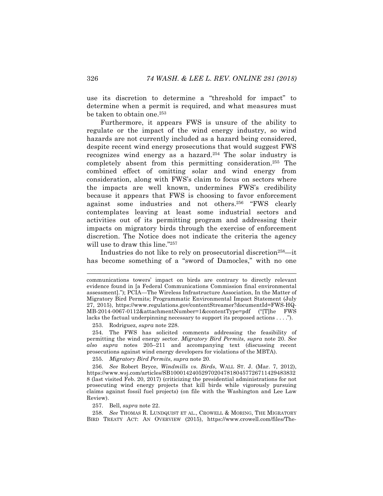use its discretion to determine a "threshold for impact" to determine when a permit is required, and what measures must be taken to obtain one.<sup>253</sup>

Furthermore, it appears FWS is unsure of the ability to regulate or the impact of the wind energy industry, so wind hazards are not currently included as a hazard being considered, despite recent wind energy prosecutions that would suggest FWS recognizes wind energy as a hazard.<sup>254</sup> The solar industry is completely absent from this permitting consideration.255 The combined effect of omitting solar and wind energy from consideration, along with FWS's claim to focus on sectors where the impacts are well known, undermines FWS's credibility because it appears that FWS is choosing to favor enforcement against some industries and not others.256 "FWS clearly contemplates leaving at least some industrial sectors and activities out of its permitting program and addressing their impacts on migratory birds through the exercise of enforcement discretion. The Notice does not indicate the criteria the agency will use to draw this line."257

Industries do not like to rely on prosecutorial discretion<sup>258</sup>—it has become something of a "sword of Damocles," with no one

253. Rodriguez, *supra* note 228.

254. The FWS has solicited comments addressing the feasibility of permitting the wind energy sector. *Migratory Bird Permits*, *supra* note 20. *See also supra* notes 205–211 and accompanying text (discussing recent prosecutions against wind energy developers for violations of the MBTA).

255. *Migratory Bird Permits*, *supra* note 20.

256. *See* Robert Bryce, *Windmills vs. Birds*, WALL ST. J. (Mar. 7, 2012), https://www.wsj.com/articles/SB1000142405297020478180457726711429483832 8 (last visited Feb. 20, 2017) (criticizing the presidential administrations for not prosecuting wind energy projects that kill birds while vigorously pursuing claims against fossil fuel projects) (on file with the Washington and Lee Law Review).

257. Bell, *supra* note 22.

258. *See* THOMAS R. LUNDQUIST ET AL., CROWELL & MORING, THE MIGRATORY BIRD TREATY ACT: AN OVERVIEW (2015), https://www.crowell.com/files/The-

communications towers' impact on birds are contrary to directly relevant evidence found in [a Federal Communications Commission final environmental assessment]."); PCIA—The Wireless Infrastructure Association, In the Matter of Migratory Bird Permits; Programmatic Environmental Impact Statement (July 27, 2015), https://www.regulations.gov/contentStreamer?documentId=FWS-HQ-MB-2014-0067-0112&attachmentNumber=1&contentType=pdf ("[T]he FWS lacks the factual underpinning necessary to support its proposed actions . . . .").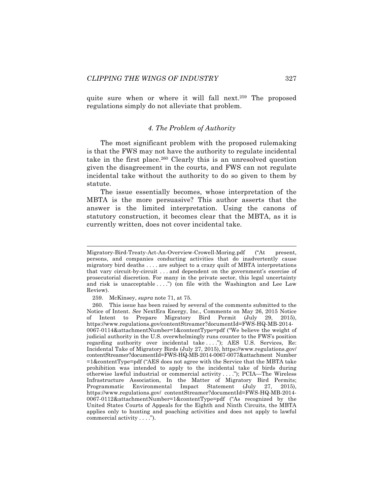quite sure when or where it will fall next.<sup>259</sup> The proposed regulations simply do not alleviate that problem.

# *4. The Problem of Authority*

The most significant problem with the proposed rulemaking is that the FWS may not have the authority to regulate incidental take in the first place.<sup>260</sup> Clearly this is an unresolved question given the disagreement in the courts, and FWS can not regulate incidental take without the authority to do so given to them by statute.

The issue essentially becomes, whose interpretation of the MBTA is the more persuasive? This author asserts that the answer is the limited interpretation. Using the canons of statutory construction, it becomes clear that the MBTA, as it is currently written, does not cover incidental take.

Migratory-Bird-Treaty-Act-An-Overview-Crowell-Moring.pdf ("At present, persons, and companies conducting activities that do inadvertently cause migratory bird deaths . . . . are subject to a crazy quilt of MBTA interpretations that vary circuit-by-circuit . . . and dependent on the government's exercise of prosecutorial discretion. For many in the private sector, this legal uncertainty and risk is unacceptable  $\dots$ .") (on file with the Washington and Lee Law Review).

<sup>259.</sup> McKinsey, *supra* note 71, at 75.

<sup>260.</sup> This issue has been raised by several of the comments submitted to the Notice of Intent. *See* NextEra Energy, Inc., Comments on May 26, 2015 Notice of Intent to Prepare Migratory Bird Permit (July 29, 2015), https://www.regulations.gov/contentStreamer?documentId=FWS-HQ-MB-2014- 0067-0114&attachmentNumber=1&contentType=pdf ("We believe the weight of judicial authority in the U.S. overwhelmingly runs counter to the FWS's position regarding authority over incidental take ...."); AES U.S. Services, Re: Incidental Take of Migratory Birds (July 27, 2015), https://www.regulations.gov/ contentStreamer?documentId=FWS-HQ-MB-2014-0067-0077&attachment Number =1&contentType=pdf ("AES does not agree with the Service that the MBTA take prohibition was intended to apply to the incidental take of birds during otherwise lawful industrial or commercial activity . . . ."); PCIA—The Wireless Infrastructure Association, In the Matter of Migratory Bird Permits; Programmatic Environmental Impact Statement (July 27, 2015), https://www.regulations.gov/ contentStreamer?documentId=FWS-HQ-MB-2014- 0067-0112&attachmentNumber=1&contentType=pdf ("As recognized by the United States Courts of Appeals for the Eighth and Ninth Circuits, the MBTA applies only to hunting and poaching activities and does not apply to lawful commercial activity . . . .").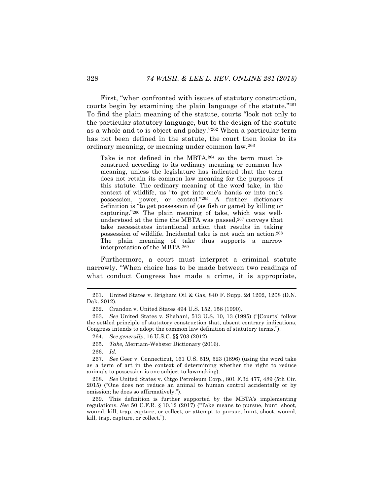First, "when confronted with issues of statutory construction, courts begin by examining the plain language of the statute."261 To find the plain meaning of the statute, courts "look not only to the particular statutory language, but to the design of the statute as a whole and to is object and policy."262 When a particular term has not been defined in the statute, the court then looks to its ordinary meaning, or meaning under common law.263

Take is not defined in the MBTA,264 so the term must be construed according to its ordinary meaning or common law meaning, unless the legislature has indicated that the term does not retain its common law meaning for the purposes of this statute. The ordinary meaning of the word take, in the context of wildlife, us "to get into one's hands or into one's possession, power, or control."265 A further dictionary definition is "to get possession of (as fish or game) by killing or capturing."266 The plain meaning of take, which was wellunderstood at the time the MBTA was passed,<sup>267</sup> conveys that take necessitates intentional action that results in taking possession of wildlife. Incidental take is not such an action.268 The plain meaning of take thus supports a narrow interpretation of the MBTA.269

Furthermore, a court must interpret a criminal statute narrowly. "When choice has to be made between two readings of what conduct Congress has made a crime, it is appropriate,

266. *Id.*

267. *See* Geer v. Connecticut, 161 U.S. 519, 523 (1896) (using the word take as a term of art in the context of determining whether the right to reduce animals to possession is one subject to lawmaking).

268. *See* United States v. Citgo Petroleum Corp., 801 F.3d 477, 489 (5th Cir. 2015) ("One does not reduce an animal to human control accidentally or by omission; he does so affirmatively.").

269. This definition is further supported by the MBTA's implementing regulations. *See* 50 C.F.R. § 10.12 (2017) ("Take means to pursue, hunt, shoot, wound, kill, trap, capture, or collect, or attempt to pursue, hunt, shoot, wound, kill, trap, capture, or collect.").

 <sup>261.</sup> United States v. Brigham Oil & Gas, 840 F. Supp. 2d 1202, 1208 (D.N. Dak. 2012).

<sup>262.</sup> Crandon v. United States 494 U.S. 152, 158 (1990).

<sup>263.</sup> *See* United States v. Shahani, 513 U.S. 10, 13 (1995) ("[Courts] follow the settled principle of statutory construction that, absent contrary indications, Congress intends to adopt the common law definition of statutory terms.").

<sup>264.</sup> *See generally*, 16 U.S.C. §§ 703 (2012).

<sup>265.</sup> *Take*, Merriam-Webster Dictionary (2016).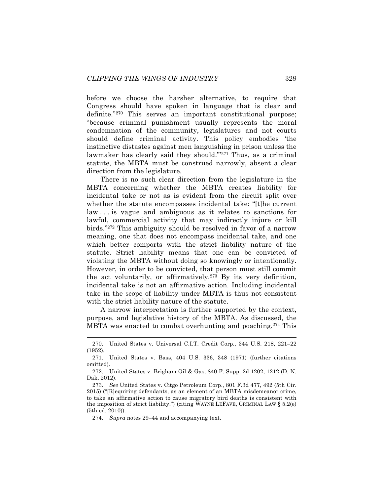before we choose the harsher alternative, to require that Congress should have spoken in language that is clear and definite."270 This serves an important constitutional purpose; "because criminal punishment usually represents the moral condemnation of the community, legislatures and not courts should define criminal activity. This policy embodies 'the instinctive distastes against men languishing in prison unless the lawmaker has clearly said they should."<sup>271</sup> Thus, as a criminal statute, the MBTA must be construed narrowly, absent a clear direction from the legislature.

There is no such clear direction from the legislature in the MBTA concerning whether the MBTA creates liability for incidental take or not as is evident from the circuit split over whether the statute encompasses incidental take: "[t]he current law . . . is vague and ambiguous as it relates to sanctions for lawful, commercial activity that may indirectly injure or kill birds."272 This ambiguity should be resolved in favor of a narrow meaning, one that does not encompass incidental take, and one which better comports with the strict liability nature of the statute. Strict liability means that one can be convicted of violating the MBTA without doing so knowingly or intentionally. However, in order to be convicted, that person must still commit the act voluntarily, or affirmatively.273 By its very definition, incidental take is not an affirmative action. Including incidental take in the scope of liability under MBTA is thus not consistent with the strict liability nature of the statute.

A narrow interpretation is further supported by the context, purpose, and legislative history of the MBTA. As discussed, the MBTA was enacted to combat overhunting and poaching.<sup>274</sup> This

 <sup>270.</sup> United States v. Universal C.I.T. Credit Corp., 344 U.S. 218, 221–22 (1952).

<sup>271.</sup> United States v. Bass, 404 U.S. 336, 348 (1971) (further citations omitted).

<sup>272.</sup> United States v. Brigham Oil & Gas, 840 F. Supp. 2d 1202, 1212 (D. N. Dak. 2012).

<sup>273.</sup> *See* United States v. Citgo Petroleum Corp., 801 F.3d 477, 492 (5th Cir. 2015) ("[R]equiring defendants, as an element of an MBTA misdemeanor crime, to take an affirmative action to cause migratory bird deaths is consistent with the imposition of strict liability.") (citing WAYNE LEFAVE, CRIMINAL LAW  $\S 5.2(e)$ (5th ed. 2010)).

<sup>274.</sup> *Supra* notes 29–44 and accompanying text.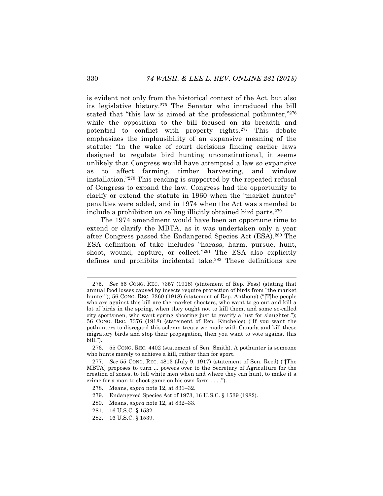is evident not only from the historical context of the Act, but also its legislative history.275 The Senator who introduced the bill stated that "this law is aimed at the professional pothunter,"<sup>276</sup> while the opposition to the bill focused on its breadth and potential to conflict with property rights.<sup>277</sup> This debate emphasizes the implausibility of an expansive meaning of the statute: "In the wake of court decisions finding earlier laws designed to regulate bird hunting unconstitutional, it seems unlikely that Congress would have attempted a law so expansive as to affect farming, timber harvesting, and window installation."278 This reading is supported by the repeated refusal of Congress to expand the law. Congress had the opportunity to clarify or extend the statute in 1960 when the "market hunter" penalties were added, and in 1974 when the Act was amended to include a prohibition on selling illicitly obtained bird parts.279

The 1974 amendment would have been an opportune time to extend or clarify the MBTA, as it was undertaken only a year after Congress passed the Endangered Species Act (ESA).280 The ESA definition of take includes "harass, harm, pursue, hunt, shoot, wound, capture, or collect."<sup>281</sup> The ESA also explicitly defines and prohibits incidental take.282 These definitions are

 <sup>275.</sup> *See* 56 CONG. REC. 7357 (1918) (statement of Rep. Fess) (stating that annual food losses caused by insects require protection of birds from "the market hunter"); 56 CONG. REC. 7360 (1918) (statement of Rep. Anthony) ("[T]he people who are against this bill are the market shooters, who want to go out and kill a lot of birds in the spring, when they ought not to kill them, and some so-called city sportsmen, who want spring shooting just to gratify a lust for slaughter."); 56 CONG. REC. 7376 (1918) (statement of Rep. Kincheloe) ("If you want the pothunters to disregard this solemn treaty we made with Canada and kill these migratory birds and stop their propagation, then you want to vote against this bill.").

<sup>276.</sup> 55 CONG. REC. 4402 (statement of Sen. Smith). A pothunter is someone who hunts merely to achieve a kill, rather than for sport.

<sup>277.</sup> *See* 55 CONG. REC. 4813 (July 9, 1917) (statement of Sen. Reed) ("[The MBTA] proposes to turn ... powers over to the Secretary of Agriculture for the creation of zones, to tell white men when and where they can hunt, to make it a crime for a man to shoot game on his own farm . . . .").

<sup>278.</sup> Means, *supra* note 12, at 831–32.

<sup>279.</sup> Endangered Species Act of 1973, 16 U.S.C. § 1539 (1982).

<sup>280.</sup> Means, *supra* note 12, at 832–33.

<sup>281.</sup> 16 U.S.C. § 1532.

<sup>282.</sup> 16 U.S.C. § 1539.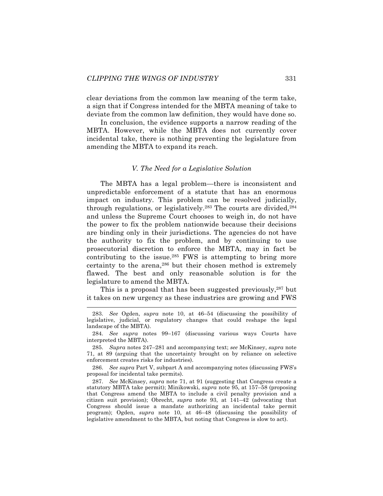clear deviations from the common law meaning of the term take, a sign that if Congress intended for the MBTA meaning of take to deviate from the common law definition, they would have done so.

In conclusion, the evidence supports a narrow reading of the MBTA. However, while the MBTA does not currently cover incidental take, there is nothing preventing the legislature from amending the MBTA to expand its reach.

# *V. The Need for a Legislative Solution*

The MBTA has a legal problem—there is inconsistent and unpredictable enforcement of a statute that has an enormous impact on industry. This problem can be resolved judicially, through regulations, or legislatively.<sup>283</sup> The courts are divided,<sup>284</sup> and unless the Supreme Court chooses to weigh in, do not have the power to fix the problem nationwide because their decisions are binding only in their jurisdictions. The agencies do not have the authority to fix the problem, and by continuing to use prosecutorial discretion to enforce the MBTA, may in fact be contributing to the issue. $285$  FWS is attempting to bring more certainty to the arena,<sup>286</sup> but their chosen method is extremely flawed. The best and only reasonable solution is for the legislature to amend the MBTA.

This is a proposal that has been suggested previously,<sup>287</sup> but it takes on new urgency as these industries are growing and FWS

285. *Supra* notes 247–281 and accompanying text; *see* McKinsey, *supra* note 71, at 89 (arguing that the uncertainty brought on by reliance on selective enforcement creates risks for industries).

286. *See supra* Part V, subpart A and accompanying notes (discussing FWS's proposal for incidental take permits).

287. *See* McKinsey, *supra* note 71, at 91 (suggesting that Congress create a statutory MBTA take permit); Minikowski, *supra* note 95, at 157–58 (proposing that Congress amend the MBTA to include a civil penalty provision and a citizen suit provision); Obrecht, *supra* note 93, at 141–42 (advocating that Congress should issue a mandate authorizing an incidental take permit program); Ogden, *supra* note 10, at 46–48 (discussing the possibility of legislative amendment to the MBTA, but noting that Congress is slow to act).

 <sup>283.</sup> *See* Ogden, *supra* note 10, at 46–54 (discussing the possibility of legislative, judicial, or regulatory changes that could reshape the legal landscape of the MBTA).

<sup>284.</sup> *See supra* notes 99–167 (discussing various ways Courts have interpreted the MBTA).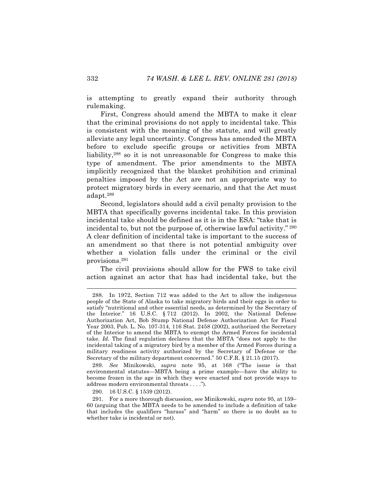is attempting to greatly expand their authority through rulemaking.

First, Congress should amend the MBTA to make it clear that the criminal provisions do not apply to incidental take. This is consistent with the meaning of the statute, and will greatly alleviate any legal uncertainty. Congress has amended the MBTA before to exclude specific groups or activities from MBTA liability,288 so it is not unreasonable for Congress to make this type of amendment. The prior amendments to the MBTA implicitly recognized that the blanket prohibition and criminal penalties imposed by the Act are not an appropriate way to protect migratory birds in every scenario, and that the Act must adapt.289

Second, legislators should add a civil penalty provision to the MBTA that specifically governs incidental take. In this provision incidental take should be defined as it is in the ESA: "take that is incidental to, but not the purpose of, otherwise lawful activity." <sup>290</sup> A clear definition of incidental take is important to the success of an amendment so that there is not potential ambiguity over whether a violation falls under the criminal or the civil provisions.291

The civil provisions should allow for the FWS to take civil action against an actor that has had incidental take, but the

289. *See* Minikowski, *supra* note 95, at 168 ("The issue is that environmental statutes—MBTA being a prime example—have the ability to become frozen in the age in which they were enacted and not provide ways to address modern environmental threats . . . .").

290. 16 U.S.C. § 1539 (2012).

 <sup>288.</sup> In 1972, Section 712 was added to the Act to allow the indigenous people of the State of Alaska to take migratory birds and their eggs in order to satisfy "nutritional and other essential needs, as determined by the Secretary of the Interior." 16 U.S.C. § 712 (2012). In 2002, the National Defense Authorization Act, Bob Stump National Defense Authorization Act for Fiscal Year 2003, Pub. L. No. 107-314, 116 Stat. 2458 (2002), authorized the Secretary of the Interior to amend the MBTA to exempt the Armed Forces for incidental take. *Id.* The final regulation declares that the MBTA "does not apply to the incidental taking of a migratory bird by a member of the Armed Forces during a military readiness activity authorized by the Secretary of Defense or the Secretary of the military department concerned." 50 C.F.R. § 21.15 (2017).

<sup>291.</sup> For a more thorough discussion, see Minikowski, *supra* note 95, at 159– 60 (arguing that the MBTA needs to be amended to include a definition of take that includes the qualifiers "harass" and "harm" so there is no doubt as to whether take is incidental or not).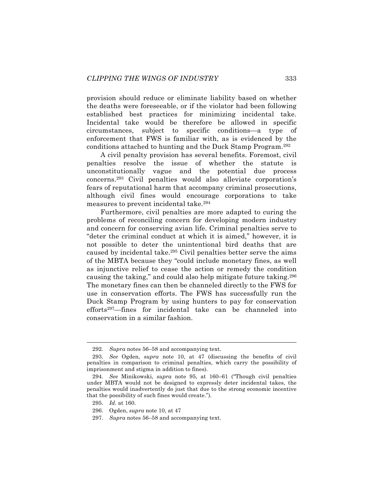provision should reduce or eliminate liability based on whether the deaths were foreseeable, or if the violator had been following established best practices for minimizing incidental take. Incidental take would be therefore be allowed in specific circumstances, subject to specific conditions—a type of enforcement that FWS is familiar with, as is evidenced by the conditions attached to hunting and the Duck Stamp Program.292

A civil penalty provision has several benefits. Foremost, civil penalties resolve the issue of whether the statute is unconstitutionally vague and the potential due process concerns.293 Civil penalties would also alleviate corporation's fears of reputational harm that accompany criminal prosecutions, although civil fines would encourage corporations to take measures to prevent incidental take.294

Furthermore, civil penalties are more adapted to curing the problems of reconciling concern for developing modern industry and concern for conserving avian life. Criminal penalties serve to "deter the criminal conduct at which it is aimed," however, it is not possible to deter the unintentional bird deaths that are caused by incidental take.295 Civil penalties better serve the aims of the MBTA because they "could include monetary fines, as well as injunctive relief to cease the action or remedy the condition causing the taking," and could also help mitigate future taking.296 The monetary fines can then be channeled directly to the FWS for use in conservation efforts. The FWS has successfully run the Duck Stamp Program by using hunters to pay for conservation efforts<sup>297</sup>—fines for incidental take can be channeled into conservation in a similar fashion.

 <sup>292.</sup> *Supra* notes 56–58 and accompanying text.

<sup>293.</sup> *See* Ogden, *supra* note 10, at 47 (discussing the benefits of civil penalties in comparison to criminal penalties, which carry the possibility of imprisonment and stigma in addition to fines).

<sup>294.</sup> *See* Minikowski, *supra* note 95, at 160–61 ("Though civil penalties under MBTA would not be designed to expressly deter incidental takes, the penalties would inadvertently do just that due to the strong economic incentive that the possibility of such fines would create.").

<sup>295.</sup> *Id.* at 160.

<sup>296.</sup> Ogden, *supra* note 10, at 47

<sup>297.</sup> *Supra* notes 56–58 and accompanying text.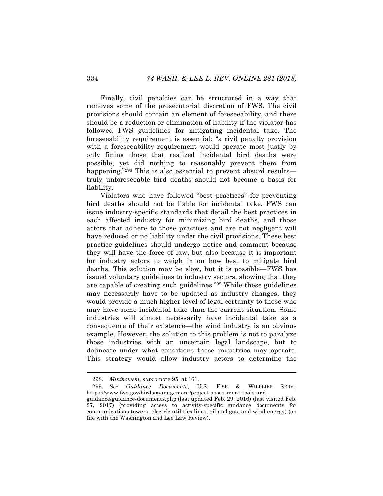Finally, civil penalties can be structured in a way that removes some of the prosecutorial discretion of FWS. The civil provisions should contain an element of foreseeability, and there should be a reduction or elimination of liability if the violator has followed FWS guidelines for mitigating incidental take. The foreseeability requirement is essential; "a civil penalty provision with a foreseeability requirement would operate most justly by only fining those that realized incidental bird deaths were possible, yet did nothing to reasonably prevent them from happening."<sup>298</sup> This is also essential to prevent absurd results truly unforeseeable bird deaths should not become a basis for liability.

Violators who have followed "best practices" for preventing bird deaths should not be liable for incidental take. FWS can issue industry-specific standards that detail the best practices in each affected industry for minimizing bird deaths, and those actors that adhere to those practices and are not negligent will have reduced or no liability under the civil provisions. These best practice guidelines should undergo notice and comment because they will have the force of law, but also because it is important for industry actors to weigh in on how best to mitigate bird deaths. This solution may be slow, but it is possible—FWS has issued voluntary guidelines to industry sectors, showing that they are capable of creating such guidelines.299 While these guidelines may necessarily have to be updated as industry changes, they would provide a much higher level of legal certainty to those who may have some incidental take than the current situation. Some industries will almost necessarily have incidental take as a consequence of their existence—the wind industry is an obvious example. However, the solution to this problem is not to paralyze those industries with an uncertain legal landscape, but to delineate under what conditions these industries may operate. This strategy would allow industry actors to determine the

 <sup>298.</sup> *Minikowski, supra* note 95, at 161.

<sup>299.</sup> *See Guidance Documents*, U.S. FISH & WILDLIFE SERV., https://www.fws.gov/birds/management/project-assessment-tools-andguidance/guidance-documents.php (last updated Feb. 29, 2016) (last visited Feb. 27, 2017) (providing access to activity-specific guidance documents for communications towers, electric utilities lines, oil and gas, and wind energy) (on file with the Washington and Lee Law Review).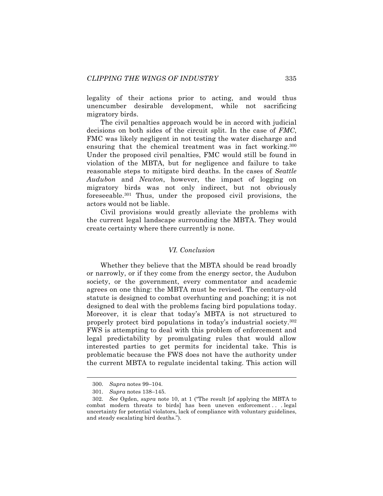legality of their actions prior to acting, and would thus unencumber desirable development, while not sacrificing migratory birds.

The civil penalties approach would be in accord with judicial decisions on both sides of the circuit split. In the case of *FMC*, FMC was likely negligent in not testing the water discharge and ensuring that the chemical treatment was in fact working.<sup>300</sup> Under the proposed civil penalties, FMC would still be found in violation of the MBTA, but for negligence and failure to take reasonable steps to mitigate bird deaths. In the cases of *Seattle Audubon* and *Newton*, however, the impact of logging on migratory birds was not only indirect, but not obviously foreseeable.301 Thus, under the proposed civil provisions, the actors would not be liable.

Civil provisions would greatly alleviate the problems with the current legal landscape surrounding the MBTA. They would create certainty where there currently is none.

#### *VI. Conclusion*

Whether they believe that the MBTA should be read broadly or narrowly, or if they come from the energy sector, the Audubon society, or the government, every commentator and academic agrees on one thing: the MBTA must be revised. The century-old statute is designed to combat overhunting and poaching; it is not designed to deal with the problems facing bird populations today. Moreover, it is clear that today's MBTA is not structured to properly protect bird populations in today's industrial society.302 FWS is attempting to deal with this problem of enforcement and legal predictability by promulgating rules that would allow interested parties to get permits for incidental take. This is problematic because the FWS does not have the authority under the current MBTA to regulate incidental taking. This action will

 <sup>300.</sup> *Supra* notes 99–104.

<sup>301.</sup> *Supra* notes 138–145.

<sup>302.</sup> *See* Ogden, *supra* note 10, at 1 ("The result [of applying the MBTA to combat modern threats to birds] has been uneven enforcement . . . legal uncertainty for potential violators, lack of compliance with voluntary guidelines, and steady escalating bird deaths.").